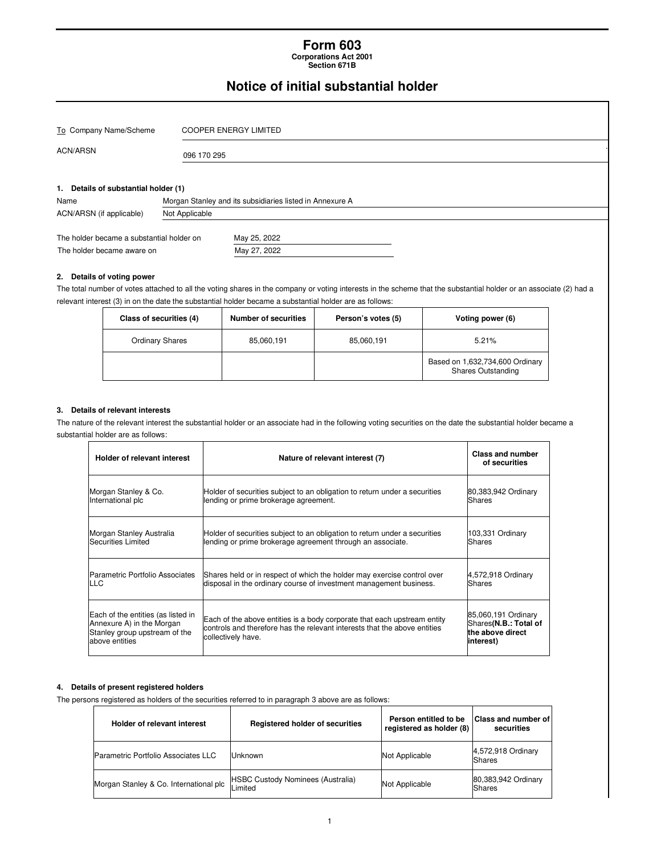#### **Form 603 Corporations Act 2001**

**Section 671B** 

## **Notice of initial substantial holder**

| To Company Name/Scheme                       |                | <b>COOPER ENERGY LIMITED</b>                             |  |  |  |  |
|----------------------------------------------|----------------|----------------------------------------------------------|--|--|--|--|
| <b>ACN/ARSN</b>                              |                | 096 170 295                                              |  |  |  |  |
| 1. Details of substantial holder (1)<br>Name |                | Morgan Stanley and its subsidiaries listed in Annexure A |  |  |  |  |
| ACN/ARSN (if applicable)                     | Not Applicable |                                                          |  |  |  |  |
| The holder became a substantial holder on    |                | May 25, 2022                                             |  |  |  |  |
| The holder became aware on                   |                | May 27, 2022                                             |  |  |  |  |
| Details of voting power<br>2.                |                |                                                          |  |  |  |  |

The total number of votes attached to all the voting shares in the company or voting interests in the scheme that the substantial holder or an associate (2) had a relevant interest (3) in on the date the substantial holder became a substantial holder are as follows:

| Class of securities (4) | <b>Number of securities</b> | Person's votes (5) | Voting power (6)                                             |
|-------------------------|-----------------------------|--------------------|--------------------------------------------------------------|
| <b>Ordinary Shares</b>  | 85,060,191                  | 85,060,191         | 5.21%                                                        |
|                         |                             |                    | Based on 1,632,734,600 Ordinary<br><b>Shares Outstanding</b> |

#### **3. Details of relevant interests**

The nature of the relevant interest the substantial holder or an associate had in the following voting securities on the date the substantial holder became a substantial holder are as follows:

| Holder of relevant interest                                                                                        | Nature of relevant interest (7)                                                                                                                                             | Class and number<br>of securities                                             |
|--------------------------------------------------------------------------------------------------------------------|-----------------------------------------------------------------------------------------------------------------------------------------------------------------------------|-------------------------------------------------------------------------------|
| Morgan Stanley & Co.                                                                                               | Holder of securities subject to an obligation to return under a securities                                                                                                  | 80,383,942 Ordinary                                                           |
| International plc                                                                                                  | lending or prime brokerage agreement.                                                                                                                                       | Shares                                                                        |
| Morgan Stanley Australia                                                                                           | Holder of securities subject to an obligation to return under a securities                                                                                                  | 103,331 Ordinary                                                              |
| Securities Limited                                                                                                 | lending or prime brokerage agreement through an associate.                                                                                                                  | lShares                                                                       |
| Parametric Portfolio Associates                                                                                    | Shares held or in respect of which the holder may exercise control over                                                                                                     | 4,572,918 Ordinary                                                            |
| <b>LLC</b>                                                                                                         | disposal in the ordinary course of investment management business.                                                                                                          | Shares                                                                        |
| Each of the entities (as listed in<br>Annexure A) in the Morgan<br>Stanley group upstream of the<br>above entities | Each of the above entities is a body corporate that each upstream entity<br>controls and therefore has the relevant interests that the above entities<br>collectively have. | 85,060,191 Ordinary<br>Shares(N.B.: Total of<br>the above direct<br>interest) |

#### **4. Details of present registered holders**

The persons registered as holders of the securities referred to in paragraph 3 above are as follows:

| Holder of relevant interest            | <b>Registered holder of securities</b>              | Person entitled to be<br>registered as holder (8) | <b>Class and number of l</b><br>securities |
|----------------------------------------|-----------------------------------------------------|---------------------------------------------------|--------------------------------------------|
| Parametric Portfolio Associates LLC    | Unknown                                             | Not Applicable                                    | 4,572,918 Ordinary<br>Shares               |
| Morgan Stanley & Co. International plc | <b>HSBC Custody Nominees (Australia)</b><br>Limited | Not Applicable                                    | 80,383,942 Ordinary<br><b>Shares</b>       |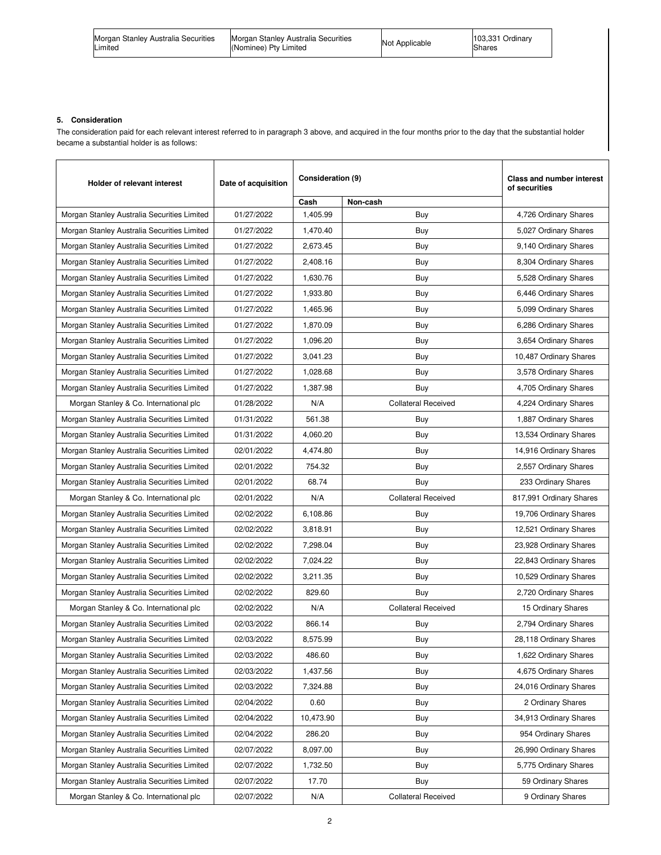| Morgan Stanley Australia Securities | Morgan Stanley Australia Securities | Not Applicable | 103,331 Ordinary |
|-------------------------------------|-------------------------------------|----------------|------------------|
| Limited                             | (Nominee) Pty Limited               |                | Shares           |

#### **5. Consideration**

The consideration paid for each relevant interest referred to in paragraph 3 above, and acquired in the four months prior to the day that the substantial holder became a substantial holder is as follows:

| Holder of relevant interest                 | Date of acquisition | Consideration (9) |                            | Class and number interest<br>of securities |
|---------------------------------------------|---------------------|-------------------|----------------------------|--------------------------------------------|
|                                             |                     | Cash              | Non-cash                   |                                            |
| Morgan Stanley Australia Securities Limited | 01/27/2022          | 1,405.99          | Buy                        | 4,726 Ordinary Shares                      |
| Morgan Stanley Australia Securities Limited | 01/27/2022          | 1,470.40          | Buy                        | 5,027 Ordinary Shares                      |
| Morgan Stanley Australia Securities Limited | 01/27/2022          | 2,673.45          | Buy                        | 9,140 Ordinary Shares                      |
| Morgan Stanley Australia Securities Limited | 01/27/2022          | 2,408.16          | Buy                        | 8,304 Ordinary Shares                      |
| Morgan Stanley Australia Securities Limited | 01/27/2022          | 1,630.76          | Buy                        | 5,528 Ordinary Shares                      |
| Morgan Stanley Australia Securities Limited | 01/27/2022          | 1,933.80          | Buy                        | 6,446 Ordinary Shares                      |
| Morgan Stanley Australia Securities Limited | 01/27/2022          | 1,465.96          | Buy                        | 5,099 Ordinary Shares                      |
| Morgan Stanley Australia Securities Limited | 01/27/2022          | 1,870.09          | Buy                        | 6,286 Ordinary Shares                      |
| Morgan Stanley Australia Securities Limited | 01/27/2022          | 1,096.20          | Buy                        | 3,654 Ordinary Shares                      |
| Morgan Stanley Australia Securities Limited | 01/27/2022          | 3,041.23          | Buy                        | 10,487 Ordinary Shares                     |
| Morgan Stanley Australia Securities Limited | 01/27/2022          | 1,028.68          | Buy                        | 3,578 Ordinary Shares                      |
| Morgan Stanley Australia Securities Limited | 01/27/2022          | 1,387.98          | Buy                        | 4,705 Ordinary Shares                      |
| Morgan Stanley & Co. International plc      | 01/28/2022          | N/A               | <b>Collateral Received</b> | 4,224 Ordinary Shares                      |
| Morgan Stanley Australia Securities Limited | 01/31/2022          | 561.38            | Buy                        | 1,887 Ordinary Shares                      |
| Morgan Stanley Australia Securities Limited | 01/31/2022          | 4,060.20          | Buy                        | 13,534 Ordinary Shares                     |
| Morgan Stanley Australia Securities Limited | 02/01/2022          | 4,474.80          | Buy                        | 14,916 Ordinary Shares                     |
| Morgan Stanley Australia Securities Limited | 02/01/2022          | 754.32            | Buy                        | 2,557 Ordinary Shares                      |
| Morgan Stanley Australia Securities Limited | 02/01/2022          | 68.74             | Buy                        | 233 Ordinary Shares                        |
| Morgan Stanley & Co. International plc      | 02/01/2022          | N/A               | <b>Collateral Received</b> | 817,991 Ordinary Shares                    |
| Morgan Stanley Australia Securities Limited | 02/02/2022          | 6,108.86          | Buy                        | 19,706 Ordinary Shares                     |
| Morgan Stanley Australia Securities Limited | 02/02/2022          | 3,818.91          | Buy                        | 12,521 Ordinary Shares                     |
| Morgan Stanley Australia Securities Limited | 02/02/2022          | 7,298.04          | Buy                        | 23,928 Ordinary Shares                     |
| Morgan Stanley Australia Securities Limited | 02/02/2022          | 7,024.22          | Buy                        | 22,843 Ordinary Shares                     |
| Morgan Stanley Australia Securities Limited | 02/02/2022          | 3,211.35          | Buy                        | 10,529 Ordinary Shares                     |
| Morgan Stanley Australia Securities Limited | 02/02/2022          | 829.60            | Buy                        | 2,720 Ordinary Shares                      |
| Morgan Stanley & Co. International plc      | 02/02/2022          | N/A               | <b>Collateral Received</b> | 15 Ordinary Shares                         |
| Morgan Stanley Australia Securities Limited | 02/03/2022          | 866.14            | Buy                        | 2,794 Ordinary Shares                      |
| Morgan Stanley Australia Securities Limited | 02/03/2022          | 8,575.99          | Buy                        | 28,118 Ordinary Shares                     |
| Morgan Stanley Australia Securities Limited | 02/03/2022          | 486.60            | Buy                        | 1,622 Ordinary Shares                      |
| Morgan Stanley Australia Securities Limited | 02/03/2022          | 1,437.56          | Buy                        | 4,675 Ordinary Shares                      |
| Morgan Stanley Australia Securities Limited | 02/03/2022          | 7,324.88          | Buy                        | 24,016 Ordinary Shares                     |
| Morgan Stanley Australia Securities Limited | 02/04/2022          | 0.60              | Buy                        | 2 Ordinary Shares                          |
| Morgan Stanley Australia Securities Limited | 02/04/2022          | 10,473.90         | Buy                        | 34,913 Ordinary Shares                     |
| Morgan Stanley Australia Securities Limited | 02/04/2022          | 286.20            | Buy                        | 954 Ordinary Shares                        |
| Morgan Stanley Australia Securities Limited | 02/07/2022          | 8,097.00          | Buy                        | 26,990 Ordinary Shares                     |
| Morgan Stanley Australia Securities Limited | 02/07/2022          | 1,732.50          | Buy                        | 5,775 Ordinary Shares                      |
| Morgan Stanley Australia Securities Limited | 02/07/2022          | 17.70             | Buy                        | 59 Ordinary Shares                         |
| Morgan Stanley & Co. International plc      | 02/07/2022          | N/A               | <b>Collateral Received</b> | 9 Ordinary Shares                          |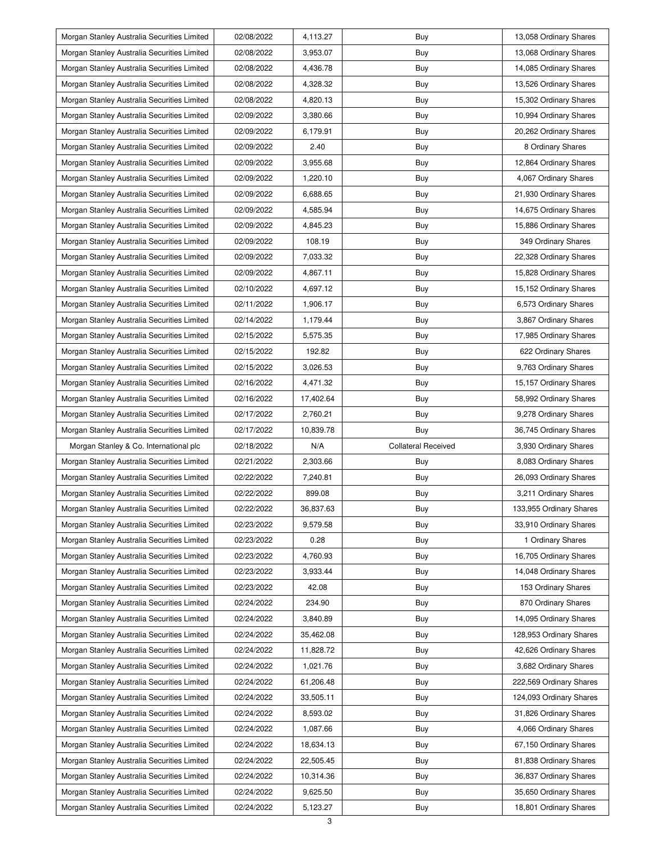| Morgan Stanley Australia Securities Limited | 02/08/2022 | 4,113.27  | Buy                        | 13,058 Ordinary Shares  |
|---------------------------------------------|------------|-----------|----------------------------|-------------------------|
| Morgan Stanley Australia Securities Limited | 02/08/2022 | 3,953.07  | Buy                        | 13,068 Ordinary Shares  |
| Morgan Stanley Australia Securities Limited | 02/08/2022 | 4,436.78  | Buy                        | 14,085 Ordinary Shares  |
| Morgan Stanley Australia Securities Limited | 02/08/2022 | 4,328.32  | Buy                        | 13,526 Ordinary Shares  |
| Morgan Stanley Australia Securities Limited | 02/08/2022 | 4,820.13  | Buy                        | 15,302 Ordinary Shares  |
| Morgan Stanley Australia Securities Limited | 02/09/2022 | 3,380.66  | Buy                        | 10,994 Ordinary Shares  |
| Morgan Stanley Australia Securities Limited | 02/09/2022 | 6,179.91  | Buy                        | 20,262 Ordinary Shares  |
| Morgan Stanley Australia Securities Limited | 02/09/2022 | 2.40      | Buy                        | 8 Ordinary Shares       |
|                                             |            |           |                            |                         |
| Morgan Stanley Australia Securities Limited | 02/09/2022 | 3,955.68  | Buy                        | 12,864 Ordinary Shares  |
| Morgan Stanley Australia Securities Limited | 02/09/2022 | 1,220.10  | Buy                        | 4,067 Ordinary Shares   |
| Morgan Stanley Australia Securities Limited | 02/09/2022 | 6,688.65  | Buy                        | 21,930 Ordinary Shares  |
| Morgan Stanley Australia Securities Limited | 02/09/2022 | 4,585.94  | Buy                        | 14,675 Ordinary Shares  |
| Morgan Stanley Australia Securities Limited | 02/09/2022 | 4,845.23  | Buy                        | 15,886 Ordinary Shares  |
| Morgan Stanley Australia Securities Limited | 02/09/2022 | 108.19    | Buy                        | 349 Ordinary Shares     |
| Morgan Stanley Australia Securities Limited | 02/09/2022 | 7,033.32  | Buy                        | 22,328 Ordinary Shares  |
| Morgan Stanley Australia Securities Limited | 02/09/2022 | 4,867.11  | Buy                        | 15,828 Ordinary Shares  |
| Morgan Stanley Australia Securities Limited | 02/10/2022 | 4.697.12  | Buy                        | 15,152 Ordinary Shares  |
| Morgan Stanley Australia Securities Limited | 02/11/2022 | 1,906.17  | Buy                        | 6,573 Ordinary Shares   |
| Morgan Stanley Australia Securities Limited | 02/14/2022 | 1,179.44  | Buy                        | 3,867 Ordinary Shares   |
| Morgan Stanley Australia Securities Limited | 02/15/2022 | 5,575.35  | Buy                        | 17,985 Ordinary Shares  |
| Morgan Stanley Australia Securities Limited | 02/15/2022 | 192.82    | Buy                        | 622 Ordinary Shares     |
| Morgan Stanley Australia Securities Limited | 02/15/2022 | 3,026.53  | Buy                        | 9,763 Ordinary Shares   |
| Morgan Stanley Australia Securities Limited | 02/16/2022 | 4,471.32  | Buy                        | 15,157 Ordinary Shares  |
| Morgan Stanley Australia Securities Limited | 02/16/2022 | 17,402.64 | Buy                        | 58,992 Ordinary Shares  |
| Morgan Stanley Australia Securities Limited | 02/17/2022 | 2,760.21  | Buy                        | 9,278 Ordinary Shares   |
|                                             |            |           |                            |                         |
| Morgan Stanley Australia Securities Limited | 02/17/2022 | 10,839.78 | Buy                        | 36,745 Ordinary Shares  |
| Morgan Stanley & Co. International plc      | 02/18/2022 | N/A       | <b>Collateral Received</b> | 3,930 Ordinary Shares   |
| Morgan Stanley Australia Securities Limited | 02/21/2022 | 2,303.66  | Buy                        | 8,083 Ordinary Shares   |
| Morgan Stanley Australia Securities Limited | 02/22/2022 | 7,240.81  | Buy                        | 26,093 Ordinary Shares  |
| Morgan Stanley Australia Securities Limited | 02/22/2022 | 899.08    | Buy                        | 3,211 Ordinary Shares   |
| Morgan Stanley Australia Securities Limited | 02/22/2022 | 36,837.63 | Buy                        | 133,955 Ordinary Shares |
| Morgan Stanley Australia Securities Limited | 02/23/2022 | 9,579.58  | Buy                        | 33,910 Ordinary Shares  |
| Morgan Stanley Australia Securities Limited | 02/23/2022 | 0.28      | Buy                        | 1 Ordinary Shares       |
| Morgan Stanley Australia Securities Limited | 02/23/2022 | 4,760.93  | Buy                        | 16,705 Ordinary Shares  |
| Morgan Stanley Australia Securities Limited | 02/23/2022 | 3,933.44  | Buy                        | 14,048 Ordinary Shares  |
| Morgan Stanley Australia Securities Limited | 02/23/2022 | 42.08     | Buy                        | 153 Ordinary Shares     |
| Morgan Stanley Australia Securities Limited | 02/24/2022 | 234.90    | Buy                        | 870 Ordinary Shares     |
| Morgan Stanley Australia Securities Limited | 02/24/2022 | 3,840.89  | Buy                        | 14,095 Ordinary Shares  |
| Morgan Stanley Australia Securities Limited | 02/24/2022 | 35,462.08 | Buy                        | 128,953 Ordinary Shares |
| Morgan Stanley Australia Securities Limited | 02/24/2022 | 11,828.72 | Buy                        | 42,626 Ordinary Shares  |
| Morgan Stanley Australia Securities Limited | 02/24/2022 | 1,021.76  | Buy                        | 3,682 Ordinary Shares   |
| Morgan Stanley Australia Securities Limited | 02/24/2022 | 61,206.48 | Buy                        | 222,569 Ordinary Shares |
| Morgan Stanley Australia Securities Limited | 02/24/2022 | 33,505.11 | Buy                        | 124,093 Ordinary Shares |
| Morgan Stanley Australia Securities Limited | 02/24/2022 | 8,593.02  | Buy                        | 31,826 Ordinary Shares  |
| Morgan Stanley Australia Securities Limited | 02/24/2022 | 1,087.66  | Buy                        | 4,066 Ordinary Shares   |
| Morgan Stanley Australia Securities Limited | 02/24/2022 | 18,634.13 | Buy                        | 67,150 Ordinary Shares  |
| Morgan Stanley Australia Securities Limited | 02/24/2022 | 22,505.45 | Buy                        | 81,838 Ordinary Shares  |
| Morgan Stanley Australia Securities Limited | 02/24/2022 | 10,314.36 | Buy                        | 36,837 Ordinary Shares  |
| Morgan Stanley Australia Securities Limited | 02/24/2022 | 9,625.50  | Buy                        | 35,650 Ordinary Shares  |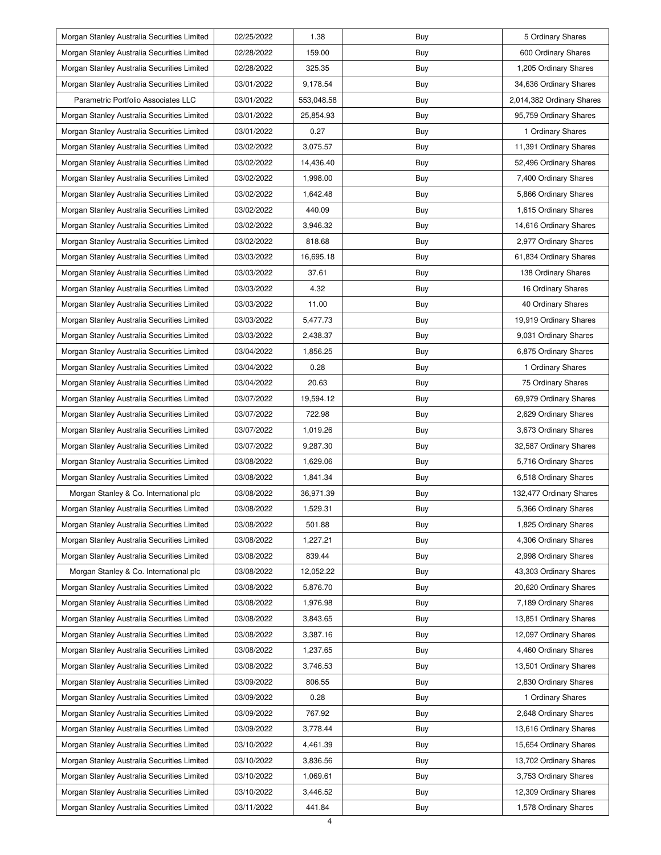| Morgan Stanley Australia Securities Limited | 02/25/2022 | 1.38       | Buy | 5 Ordinary Shares         |
|---------------------------------------------|------------|------------|-----|---------------------------|
| Morgan Stanley Australia Securities Limited | 02/28/2022 | 159.00     | Buy | 600 Ordinary Shares       |
| Morgan Stanley Australia Securities Limited | 02/28/2022 | 325.35     | Buy | 1,205 Ordinary Shares     |
| Morgan Stanley Australia Securities Limited | 03/01/2022 | 9,178.54   | Buy | 34,636 Ordinary Shares    |
| Parametric Portfolio Associates LLC         | 03/01/2022 | 553,048.58 | Buy | 2,014,382 Ordinary Shares |
| Morgan Stanley Australia Securities Limited | 03/01/2022 | 25,854.93  | Buy | 95,759 Ordinary Shares    |
| Morgan Stanley Australia Securities Limited | 03/01/2022 | 0.27       | Buy | 1 Ordinary Shares         |
| Morgan Stanley Australia Securities Limited | 03/02/2022 | 3,075.57   | Buy | 11,391 Ordinary Shares    |
| Morgan Stanley Australia Securities Limited | 03/02/2022 | 14,436.40  | Buy | 52,496 Ordinary Shares    |
| Morgan Stanley Australia Securities Limited | 03/02/2022 | 1,998.00   | Buy | 7,400 Ordinary Shares     |
| Morgan Stanley Australia Securities Limited | 03/02/2022 | 1,642.48   | Buy | 5,866 Ordinary Shares     |
| Morgan Stanley Australia Securities Limited | 03/02/2022 | 440.09     | Buy | 1,615 Ordinary Shares     |
| Morgan Stanley Australia Securities Limited | 03/02/2022 | 3,946.32   | Buy | 14,616 Ordinary Shares    |
| Morgan Stanley Australia Securities Limited | 03/02/2022 | 818.68     | Buy | 2,977 Ordinary Shares     |
| Morgan Stanley Australia Securities Limited | 03/03/2022 | 16,695.18  | Buy | 61,834 Ordinary Shares    |
| Morgan Stanley Australia Securities Limited | 03/03/2022 | 37.61      | Buy | 138 Ordinary Shares       |
| Morgan Stanley Australia Securities Limited | 03/03/2022 | 4.32       | Buy | 16 Ordinary Shares        |
| Morgan Stanley Australia Securities Limited | 03/03/2022 | 11.00      | Buy | 40 Ordinary Shares        |
| Morgan Stanley Australia Securities Limited | 03/03/2022 | 5,477.73   | Buy | 19,919 Ordinary Shares    |
| Morgan Stanley Australia Securities Limited | 03/03/2022 | 2,438.37   | Buy | 9,031 Ordinary Shares     |
| Morgan Stanley Australia Securities Limited | 03/04/2022 | 1,856.25   | Buy | 6,875 Ordinary Shares     |
| Morgan Stanley Australia Securities Limited | 03/04/2022 | 0.28       | Buy | 1 Ordinary Shares         |
| Morgan Stanley Australia Securities Limited | 03/04/2022 | 20.63      | Buy | 75 Ordinary Shares        |
| Morgan Stanley Australia Securities Limited | 03/07/2022 | 19,594.12  | Buy | 69,979 Ordinary Shares    |
| Morgan Stanley Australia Securities Limited | 03/07/2022 | 722.98     | Buy | 2,629 Ordinary Shares     |
| Morgan Stanley Australia Securities Limited | 03/07/2022 | 1,019.26   | Buy | 3,673 Ordinary Shares     |
| Morgan Stanley Australia Securities Limited | 03/07/2022 | 9,287.30   | Buy | 32,587 Ordinary Shares    |
| Morgan Stanley Australia Securities Limited | 03/08/2022 | 1,629.06   | Buy | 5,716 Ordinary Shares     |
| Morgan Stanley Australia Securities Limited | 03/08/2022 | 1,841.34   | Buy | 6,518 Ordinary Shares     |
| Morgan Stanley & Co. International plc      | 03/08/2022 | 36,971.39  | Buy | 132,477 Ordinary Shares   |
| Morgan Stanley Australia Securities Limited | 03/08/2022 | 1,529.31   | Buy | 5,366 Ordinary Shares     |
| Morgan Stanley Australia Securities Limited | 03/08/2022 | 501.88     | Buy | 1,825 Ordinary Shares     |
| Morgan Stanley Australia Securities Limited | 03/08/2022 | 1,227.21   | Buy | 4,306 Ordinary Shares     |
| Morgan Stanley Australia Securities Limited | 03/08/2022 | 839.44     | Buy | 2,998 Ordinary Shares     |
| Morgan Stanley & Co. International plc      | 03/08/2022 | 12,052.22  | Buy | 43,303 Ordinary Shares    |
| Morgan Stanley Australia Securities Limited | 03/08/2022 | 5,876.70   | Buy | 20,620 Ordinary Shares    |
| Morgan Stanley Australia Securities Limited | 03/08/2022 | 1,976.98   | Buy | 7,189 Ordinary Shares     |
| Morgan Stanley Australia Securities Limited | 03/08/2022 | 3,843.65   | Buy | 13,851 Ordinary Shares    |
| Morgan Stanley Australia Securities Limited | 03/08/2022 | 3,387.16   | Buy | 12,097 Ordinary Shares    |
| Morgan Stanley Australia Securities Limited | 03/08/2022 | 1,237.65   | Buy | 4,460 Ordinary Shares     |
| Morgan Stanley Australia Securities Limited | 03/08/2022 | 3,746.53   | Buy | 13,501 Ordinary Shares    |
| Morgan Stanley Australia Securities Limited | 03/09/2022 | 806.55     | Buy | 2,830 Ordinary Shares     |
| Morgan Stanley Australia Securities Limited | 03/09/2022 | 0.28       | Buy | 1 Ordinary Shares         |
| Morgan Stanley Australia Securities Limited | 03/09/2022 | 767.92     | Buy | 2,648 Ordinary Shares     |
| Morgan Stanley Australia Securities Limited | 03/09/2022 | 3,778.44   | Buy | 13,616 Ordinary Shares    |
| Morgan Stanley Australia Securities Limited | 03/10/2022 | 4,461.39   | Buy | 15,654 Ordinary Shares    |
| Morgan Stanley Australia Securities Limited | 03/10/2022 | 3,836.56   | Buy | 13,702 Ordinary Shares    |
| Morgan Stanley Australia Securities Limited | 03/10/2022 | 1,069.61   | Buy | 3,753 Ordinary Shares     |
| Morgan Stanley Australia Securities Limited | 03/10/2022 | 3,446.52   | Buy | 12,309 Ordinary Shares    |
| Morgan Stanley Australia Securities Limited | 03/11/2022 | 441.84     | Buy | 1,578 Ordinary Shares     |
|                                             |            |            |     |                           |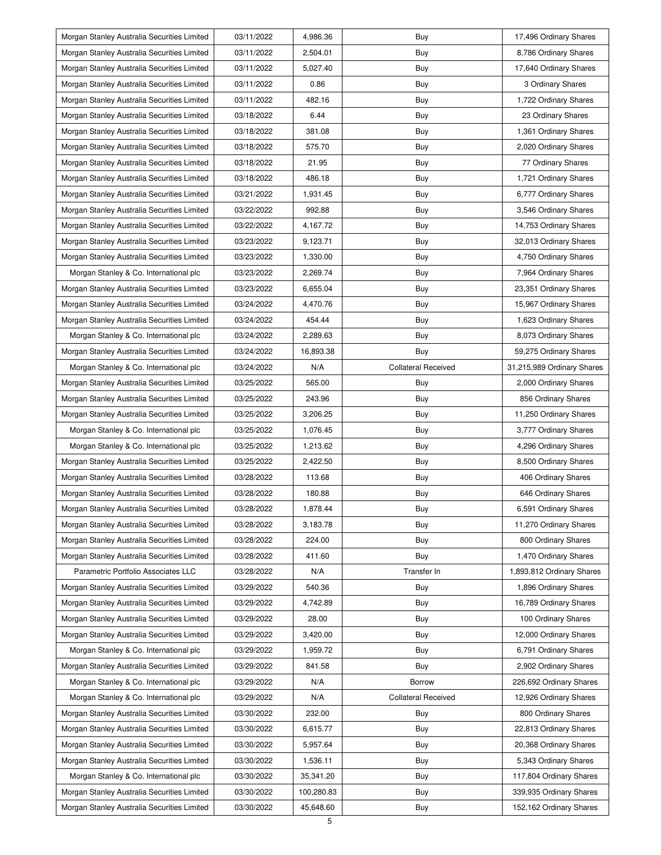| Morgan Stanley Australia Securities Limited | 03/11/2022 | 4,986.36   | Buy                        | 17,496 Ordinary Shares     |
|---------------------------------------------|------------|------------|----------------------------|----------------------------|
| Morgan Stanley Australia Securities Limited | 03/11/2022 | 2,504.01   | Buy                        | 8,786 Ordinary Shares      |
| Morgan Stanley Australia Securities Limited | 03/11/2022 | 5,027.40   | Buy                        | 17,640 Ordinary Shares     |
| Morgan Stanley Australia Securities Limited | 03/11/2022 | 0.86       | Buy                        | 3 Ordinary Shares          |
| Morgan Stanley Australia Securities Limited | 03/11/2022 | 482.16     | Buy                        | 1,722 Ordinary Shares      |
| Morgan Stanley Australia Securities Limited | 03/18/2022 | 6.44       | Buy                        | 23 Ordinary Shares         |
| Morgan Stanley Australia Securities Limited | 03/18/2022 | 381.08     | Buy                        | 1,361 Ordinary Shares      |
| Morgan Stanley Australia Securities Limited | 03/18/2022 | 575.70     | Buy                        | 2,020 Ordinary Shares      |
| Morgan Stanley Australia Securities Limited | 03/18/2022 | 21.95      | Buy                        | 77 Ordinary Shares         |
| Morgan Stanley Australia Securities Limited | 03/18/2022 | 486.18     | Buy                        | 1,721 Ordinary Shares      |
| Morgan Stanley Australia Securities Limited | 03/21/2022 | 1,931.45   | Buy                        | 6,777 Ordinary Shares      |
| Morgan Stanley Australia Securities Limited | 03/22/2022 | 992.88     | Buy                        | 3,546 Ordinary Shares      |
| Morgan Stanley Australia Securities Limited | 03/22/2022 | 4,167.72   | Buy                        | 14,753 Ordinary Shares     |
| Morgan Stanley Australia Securities Limited | 03/23/2022 | 9,123.71   | Buy                        | 32,013 Ordinary Shares     |
| Morgan Stanley Australia Securities Limited | 03/23/2022 | 1,330.00   | Buy                        | 4,750 Ordinary Shares      |
| Morgan Stanley & Co. International plc      | 03/23/2022 | 2,269.74   | Buy                        | 7,964 Ordinary Shares      |
| Morgan Stanley Australia Securities Limited | 03/23/2022 | 6,655.04   | Buy                        | 23,351 Ordinary Shares     |
| Morgan Stanley Australia Securities Limited | 03/24/2022 | 4,470.76   | Buy                        | 15,967 Ordinary Shares     |
| Morgan Stanley Australia Securities Limited | 03/24/2022 | 454.44     | Buy                        | 1,623 Ordinary Shares      |
| Morgan Stanley & Co. International plc      | 03/24/2022 | 2,289.63   | Buy                        | 8,073 Ordinary Shares      |
| Morgan Stanley Australia Securities Limited | 03/24/2022 | 16,893.38  | Buy                        | 59,275 Ordinary Shares     |
| Morgan Stanley & Co. International plc      | 03/24/2022 | N/A        | <b>Collateral Received</b> | 31,215,989 Ordinary Shares |
| Morgan Stanley Australia Securities Limited | 03/25/2022 | 565.00     | Buy                        | 2,000 Ordinary Shares      |
| Morgan Stanley Australia Securities Limited | 03/25/2022 | 243.96     | Buy                        | 856 Ordinary Shares        |
| Morgan Stanley Australia Securities Limited | 03/25/2022 | 3,206.25   | Buy                        | 11,250 Ordinary Shares     |
| Morgan Stanley & Co. International plc      | 03/25/2022 | 1,076.45   | Buy                        | 3,777 Ordinary Shares      |
| Morgan Stanley & Co. International plc      | 03/25/2022 | 1,213.62   | Buy                        | 4,296 Ordinary Shares      |
| Morgan Stanley Australia Securities Limited | 03/25/2022 | 2,422.50   | Buy                        | 8,500 Ordinary Shares      |
| Morgan Stanley Australia Securities Limited | 03/28/2022 | 113.68     | Buy                        | 406 Ordinary Shares        |
| Morgan Stanley Australia Securities Limited | 03/28/2022 | 180.88     | Buy                        | 646 Ordinary Shares        |
| Morgan Stanley Australia Securities Limited | 03/28/2022 | 1,878.44   | Buy                        | 6,591 Ordinary Shares      |
| Morgan Stanley Australia Securities Limited | 03/28/2022 | 3,183.78   | Buy                        | 11,270 Ordinary Shares     |
| Morgan Stanley Australia Securities Limited | 03/28/2022 | 224.00     | Buy                        | 800 Ordinary Shares        |
| Morgan Stanley Australia Securities Limited | 03/28/2022 | 411.60     | Buy                        | 1,470 Ordinary Shares      |
| Parametric Portfolio Associates LLC         | 03/28/2022 | N/A        | Transfer In                | 1,893,812 Ordinary Shares  |
| Morgan Stanley Australia Securities Limited | 03/29/2022 | 540.36     | <b>Buy</b>                 | 1,896 Ordinary Shares      |
| Morgan Stanley Australia Securities Limited | 03/29/2022 | 4,742.89   | Buy                        | 16,789 Ordinary Shares     |
| Morgan Stanley Australia Securities Limited | 03/29/2022 | 28.00      | Buy                        | 100 Ordinary Shares        |
| Morgan Stanley Australia Securities Limited | 03/29/2022 | 3,420.00   | Buy                        | 12,000 Ordinary Shares     |
| Morgan Stanley & Co. International plc      | 03/29/2022 | 1,959.72   | Buy                        | 6,791 Ordinary Shares      |
| Morgan Stanley Australia Securities Limited | 03/29/2022 | 841.58     | Buy                        | 2,902 Ordinary Shares      |
| Morgan Stanley & Co. International plc      | 03/29/2022 | N/A        | Borrow                     | 226,692 Ordinary Shares    |
| Morgan Stanley & Co. International plc      | 03/29/2022 | N/A        | <b>Collateral Received</b> | 12,926 Ordinary Shares     |
| Morgan Stanley Australia Securities Limited | 03/30/2022 | 232.00     | Buy                        | 800 Ordinary Shares        |
| Morgan Stanley Australia Securities Limited | 03/30/2022 | 6,615.77   | Buy                        | 22,813 Ordinary Shares     |
| Morgan Stanley Australia Securities Limited | 03/30/2022 | 5,957.64   | Buy                        | 20,368 Ordinary Shares     |
| Morgan Stanley Australia Securities Limited | 03/30/2022 | 1,536.11   | Buy                        | 5,343 Ordinary Shares      |
| Morgan Stanley & Co. International plc      | 03/30/2022 | 35,341.20  | Buy                        | 117,804 Ordinary Shares    |
| Morgan Stanley Australia Securities Limited |            |            |                            |                            |
|                                             | 03/30/2022 | 100,280.83 | Buy                        | 339,935 Ordinary Shares    |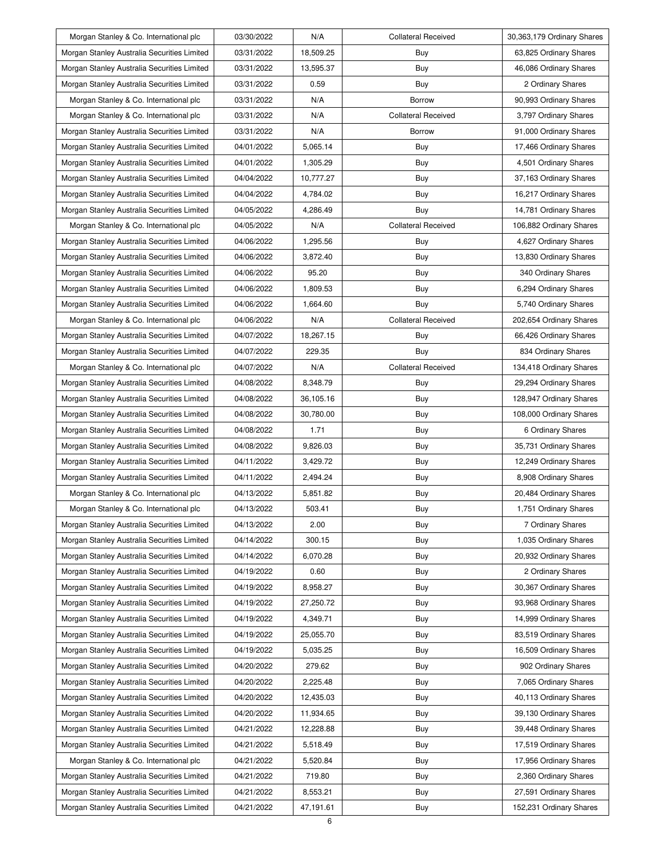| Morgan Stanley & Co. International plc      | 03/30/2022 | N/A       | <b>Collateral Received</b> | 30,363,179 Ordinary Shares |
|---------------------------------------------|------------|-----------|----------------------------|----------------------------|
| Morgan Stanley Australia Securities Limited | 03/31/2022 | 18,509.25 | Buy                        | 63,825 Ordinary Shares     |
| Morgan Stanley Australia Securities Limited | 03/31/2022 | 13,595.37 | Buy                        | 46,086 Ordinary Shares     |
| Morgan Stanley Australia Securities Limited | 03/31/2022 | 0.59      | Buy                        | 2 Ordinary Shares          |
| Morgan Stanley & Co. International plc      | 03/31/2022 | N/A       | <b>Borrow</b>              | 90,993 Ordinary Shares     |
| Morgan Stanley & Co. International plc      | 03/31/2022 | N/A       | <b>Collateral Received</b> | 3,797 Ordinary Shares      |
| Morgan Stanley Australia Securities Limited | 03/31/2022 | N/A       | Borrow                     | 91,000 Ordinary Shares     |
| Morgan Stanley Australia Securities Limited | 04/01/2022 | 5,065.14  | Buy                        | 17,466 Ordinary Shares     |
| Morgan Stanley Australia Securities Limited | 04/01/2022 | 1,305.29  | Buy                        | 4,501 Ordinary Shares      |
| Morgan Stanley Australia Securities Limited | 04/04/2022 | 10,777.27 | Buy                        | 37,163 Ordinary Shares     |
| Morgan Stanley Australia Securities Limited | 04/04/2022 | 4,784.02  | Buy                        | 16,217 Ordinary Shares     |
| Morgan Stanley Australia Securities Limited | 04/05/2022 | 4,286.49  | Buy                        | 14,781 Ordinary Shares     |
| Morgan Stanley & Co. International plc      | 04/05/2022 | N/A       | <b>Collateral Received</b> | 106,882 Ordinary Shares    |
| Morgan Stanley Australia Securities Limited | 04/06/2022 | 1,295.56  | Buy                        | 4,627 Ordinary Shares      |
| Morgan Stanley Australia Securities Limited | 04/06/2022 | 3,872.40  | Buy                        | 13,830 Ordinary Shares     |
| Morgan Stanley Australia Securities Limited | 04/06/2022 | 95.20     | Buy                        | 340 Ordinary Shares        |
| Morgan Stanley Australia Securities Limited | 04/06/2022 | 1,809.53  | Buy                        | 6,294 Ordinary Shares      |
| Morgan Stanley Australia Securities Limited | 04/06/2022 | 1,664.60  | Buy                        | 5,740 Ordinary Shares      |
| Morgan Stanley & Co. International plc      | 04/06/2022 | N/A       | Collateral Received        | 202,654 Ordinary Shares    |
| Morgan Stanley Australia Securities Limited | 04/07/2022 | 18,267.15 | Buy                        | 66,426 Ordinary Shares     |
| Morgan Stanley Australia Securities Limited | 04/07/2022 | 229.35    | Buy                        | 834 Ordinary Shares        |
| Morgan Stanley & Co. International plc      | 04/07/2022 | N/A       | <b>Collateral Received</b> | 134,418 Ordinary Shares    |
| Morgan Stanley Australia Securities Limited | 04/08/2022 | 8,348.79  | Buy                        | 29,294 Ordinary Shares     |
| Morgan Stanley Australia Securities Limited | 04/08/2022 | 36,105.16 | Buy                        | 128,947 Ordinary Shares    |
| Morgan Stanley Australia Securities Limited | 04/08/2022 | 30,780.00 | Buy                        | 108,000 Ordinary Shares    |
| Morgan Stanley Australia Securities Limited | 04/08/2022 | 1.71      | Buy                        | 6 Ordinary Shares          |
| Morgan Stanley Australia Securities Limited | 04/08/2022 | 9,826.03  | Buy                        | 35,731 Ordinary Shares     |
| Morgan Stanley Australia Securities Limited | 04/11/2022 | 3,429.72  | Buy                        | 12,249 Ordinary Shares     |
| Morgan Stanley Australia Securities Limited | 04/11/2022 | 2,494.24  | Buy                        | 8,908 Ordinary Shares      |
| Morgan Stanley & Co. International plc      | 04/13/2022 | 5,851.82  | Buy                        | 20,484 Ordinary Shares     |
| Morgan Stanley & Co. International plc      | 04/13/2022 | 503.41    | Buy                        | 1,751 Ordinary Shares      |
| Morgan Stanley Australia Securities Limited | 04/13/2022 | 2.00      | Buy                        | 7 Ordinary Shares          |
| Morgan Stanley Australia Securities Limited | 04/14/2022 | 300.15    | Buy                        | 1,035 Ordinary Shares      |
| Morgan Stanley Australia Securities Limited | 04/14/2022 | 6,070.28  | Buy                        | 20,932 Ordinary Shares     |
| Morgan Stanley Australia Securities Limited | 04/19/2022 | 0.60      | Buy                        | 2 Ordinary Shares          |
| Morgan Stanley Australia Securities Limited | 04/19/2022 | 8,958.27  | Buy                        | 30,367 Ordinary Shares     |
| Morgan Stanley Australia Securities Limited | 04/19/2022 | 27,250.72 | Buy                        | 93,968 Ordinary Shares     |
| Morgan Stanley Australia Securities Limited | 04/19/2022 | 4,349.71  | Buy                        | 14,999 Ordinary Shares     |
| Morgan Stanley Australia Securities Limited | 04/19/2022 | 25,055.70 | Buy                        | 83,519 Ordinary Shares     |
| Morgan Stanley Australia Securities Limited | 04/19/2022 | 5,035.25  | Buy                        | 16,509 Ordinary Shares     |
| Morgan Stanley Australia Securities Limited | 04/20/2022 | 279.62    | Buy                        | 902 Ordinary Shares        |
| Morgan Stanley Australia Securities Limited | 04/20/2022 | 2,225.48  | Buy                        | 7,065 Ordinary Shares      |
| Morgan Stanley Australia Securities Limited | 04/20/2022 | 12,435.03 | Buy                        | 40,113 Ordinary Shares     |
| Morgan Stanley Australia Securities Limited | 04/20/2022 | 11,934.65 | Buy                        | 39,130 Ordinary Shares     |
| Morgan Stanley Australia Securities Limited |            | 12,228.88 | Buy                        | 39,448 Ordinary Shares     |
|                                             | 04/21/2022 |           |                            |                            |
| Morgan Stanley Australia Securities Limited | 04/21/2022 | 5,518.49  | Buy                        | 17,519 Ordinary Shares     |
| Morgan Stanley & Co. International plc      | 04/21/2022 | 5,520.84  | Buy                        | 17,956 Ordinary Shares     |
| Morgan Stanley Australia Securities Limited | 04/21/2022 | 719.80    | Buy                        | 2,360 Ordinary Shares      |
| Morgan Stanley Australia Securities Limited | 04/21/2022 | 8,553.21  | Buy                        | 27,591 Ordinary Shares     |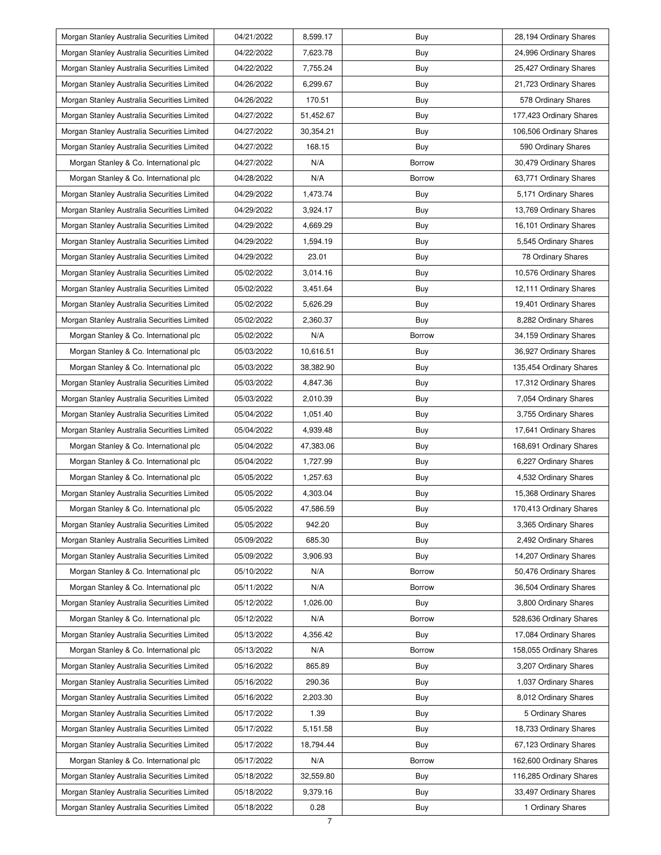| Morgan Stanley Australia Securities Limited | 04/21/2022 | 8,599.17  | Buy           | 28,194 Ordinary Shares  |
|---------------------------------------------|------------|-----------|---------------|-------------------------|
| Morgan Stanley Australia Securities Limited | 04/22/2022 | 7,623.78  | Buy           | 24,996 Ordinary Shares  |
| Morgan Stanley Australia Securities Limited | 04/22/2022 | 7,755.24  | Buy           | 25,427 Ordinary Shares  |
| Morgan Stanley Australia Securities Limited | 04/26/2022 | 6,299.67  | Buy           | 21,723 Ordinary Shares  |
| Morgan Stanley Australia Securities Limited | 04/26/2022 | 170.51    | Buy           | 578 Ordinary Shares     |
| Morgan Stanley Australia Securities Limited | 04/27/2022 | 51,452.67 | Buy           | 177,423 Ordinary Shares |
| Morgan Stanley Australia Securities Limited | 04/27/2022 | 30,354.21 | Buy           | 106,506 Ordinary Shares |
| Morgan Stanley Australia Securities Limited | 04/27/2022 | 168.15    | Buy           | 590 Ordinary Shares     |
| Morgan Stanley & Co. International plc      | 04/27/2022 | N/A       | Borrow        | 30,479 Ordinary Shares  |
| Morgan Stanley & Co. International plc      | 04/28/2022 | N/A       | Borrow        | 63,771 Ordinary Shares  |
| Morgan Stanley Australia Securities Limited | 04/29/2022 | 1,473.74  | Buy           | 5,171 Ordinary Shares   |
| Morgan Stanley Australia Securities Limited | 04/29/2022 | 3,924.17  | Buy           | 13,769 Ordinary Shares  |
| Morgan Stanley Australia Securities Limited | 04/29/2022 | 4,669.29  | Buy           | 16,101 Ordinary Shares  |
| Morgan Stanley Australia Securities Limited | 04/29/2022 | 1,594.19  | Buy           | 5,545 Ordinary Shares   |
| Morgan Stanley Australia Securities Limited | 04/29/2022 | 23.01     | Buy           | 78 Ordinary Shares      |
| Morgan Stanley Australia Securities Limited | 05/02/2022 | 3,014.16  | Buy           | 10,576 Ordinary Shares  |
| Morgan Stanley Australia Securities Limited | 05/02/2022 | 3,451.64  | Buy           | 12,111 Ordinary Shares  |
| Morgan Stanley Australia Securities Limited | 05/02/2022 | 5,626.29  | Buy           | 19,401 Ordinary Shares  |
| Morgan Stanley Australia Securities Limited | 05/02/2022 | 2,360.37  | Buy           | 8,282 Ordinary Shares   |
| Morgan Stanley & Co. International plc      | 05/02/2022 | N/A       | Borrow        | 34,159 Ordinary Shares  |
| Morgan Stanley & Co. International plc      | 05/03/2022 | 10,616.51 | Buy           | 36,927 Ordinary Shares  |
| Morgan Stanley & Co. International plc      | 05/03/2022 | 38,382.90 | Buy           | 135,454 Ordinary Shares |
| Morgan Stanley Australia Securities Limited | 05/03/2022 | 4,847.36  | Buy           | 17,312 Ordinary Shares  |
| Morgan Stanley Australia Securities Limited | 05/03/2022 | 2,010.39  | Buy           | 7,054 Ordinary Shares   |
| Morgan Stanley Australia Securities Limited | 05/04/2022 | 1,051.40  | Buy           | 3,755 Ordinary Shares   |
| Morgan Stanley Australia Securities Limited | 05/04/2022 | 4,939.48  | Buy           | 17,641 Ordinary Shares  |
| Morgan Stanley & Co. International plc      | 05/04/2022 | 47,383.06 | Buy           | 168,691 Ordinary Shares |
| Morgan Stanley & Co. International plc      | 05/04/2022 | 1,727.99  | Buy           | 6,227 Ordinary Shares   |
| Morgan Stanley & Co. International plc      | 05/05/2022 | 1,257.63  | Buy           | 4,532 Ordinary Shares   |
| Morgan Stanley Australia Securities Limited | 05/05/2022 | 4,303.04  | Buy           | 15,368 Ordinary Shares  |
| Morgan Stanley & Co. International plc      | 05/05/2022 | 47,586.59 | Buy           | 170,413 Ordinary Shares |
| Morgan Stanley Australia Securities Limited | 05/05/2022 | 942.20    | Buy           | 3,365 Ordinary Shares   |
| Morgan Stanley Australia Securities Limited | 05/09/2022 | 685.30    | Buy           | 2,492 Ordinary Shares   |
| Morgan Stanley Australia Securities Limited | 05/09/2022 | 3,906.93  | Buy           | 14,207 Ordinary Shares  |
| Morgan Stanley & Co. International plc      | 05/10/2022 | N/A       | Borrow        | 50,476 Ordinary Shares  |
| Morgan Stanley & Co. International plc      | 05/11/2022 | N/A       | Borrow        | 36,504 Ordinary Shares  |
| Morgan Stanley Australia Securities Limited | 05/12/2022 | 1,026.00  | Buy           | 3,800 Ordinary Shares   |
| Morgan Stanley & Co. International plc      | 05/12/2022 | N/A       | Borrow        | 528,636 Ordinary Shares |
| Morgan Stanley Australia Securities Limited | 05/13/2022 | 4,356.42  | Buy           | 17,084 Ordinary Shares  |
| Morgan Stanley & Co. International plc      | 05/13/2022 | N/A       | <b>Borrow</b> | 158,055 Ordinary Shares |
| Morgan Stanley Australia Securities Limited | 05/16/2022 | 865.89    | Buy           | 3,207 Ordinary Shares   |
| Morgan Stanley Australia Securities Limited | 05/16/2022 | 290.36    | Buy           | 1,037 Ordinary Shares   |
| Morgan Stanley Australia Securities Limited | 05/16/2022 | 2,203.30  | Buy           | 8,012 Ordinary Shares   |
| Morgan Stanley Australia Securities Limited | 05/17/2022 | 1.39      | Buy           | 5 Ordinary Shares       |
| Morgan Stanley Australia Securities Limited | 05/17/2022 | 5,151.58  | Buy           | 18,733 Ordinary Shares  |
| Morgan Stanley Australia Securities Limited | 05/17/2022 | 18,794.44 | Buy           | 67,123 Ordinary Shares  |
| Morgan Stanley & Co. International plc      | 05/17/2022 | N/A       | Borrow        | 162,600 Ordinary Shares |
| Morgan Stanley Australia Securities Limited | 05/18/2022 | 32,559.80 | Buy           | 116,285 Ordinary Shares |
| Morgan Stanley Australia Securities Limited | 05/18/2022 | 9,379.16  | Buy           | 33,497 Ordinary Shares  |
|                                             |            |           |               |                         |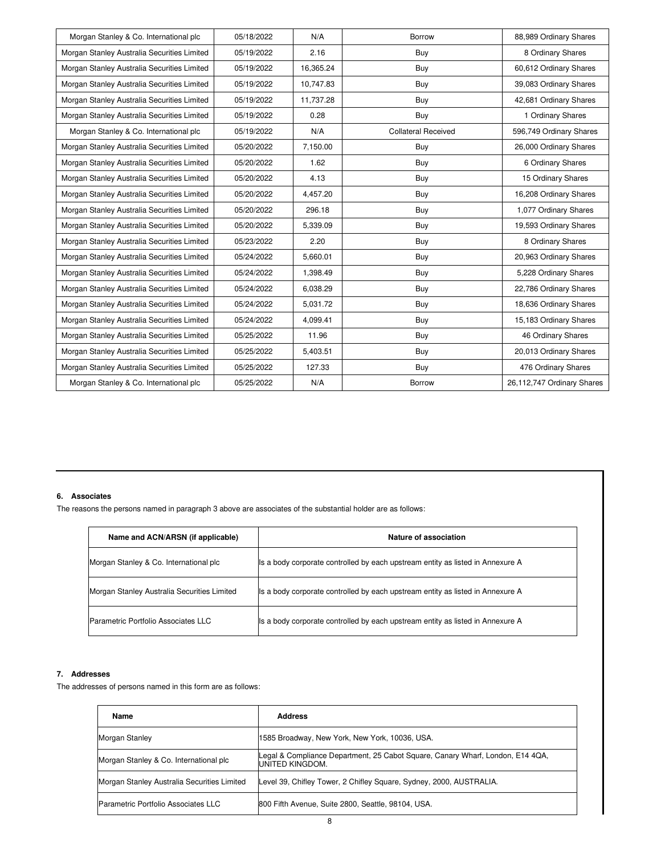| Morgan Stanley & Co. International plc      | 05/18/2022 | N/A       | Borrow                     | 88,989 Ordinary Shares     |
|---------------------------------------------|------------|-----------|----------------------------|----------------------------|
| Morgan Stanley Australia Securities Limited | 05/19/2022 | 2.16      | Buy                        | 8 Ordinary Shares          |
| Morgan Stanley Australia Securities Limited | 05/19/2022 | 16,365.24 | Buy                        | 60,612 Ordinary Shares     |
| Morgan Stanley Australia Securities Limited | 05/19/2022 | 10,747.83 | Buy                        | 39,083 Ordinary Shares     |
| Morgan Stanley Australia Securities Limited | 05/19/2022 | 11,737.28 | Buy                        | 42,681 Ordinary Shares     |
| Morgan Stanley Australia Securities Limited | 05/19/2022 | 0.28      | Buy                        | 1 Ordinary Shares          |
| Morgan Stanley & Co. International plc      | 05/19/2022 | N/A       | <b>Collateral Received</b> | 596,749 Ordinary Shares    |
| Morgan Stanley Australia Securities Limited | 05/20/2022 | 7,150.00  | Buy                        | 26,000 Ordinary Shares     |
| Morgan Stanley Australia Securities Limited | 05/20/2022 | 1.62      | Buy                        | 6 Ordinary Shares          |
| Morgan Stanley Australia Securities Limited | 05/20/2022 | 4.13      | Buy                        | 15 Ordinary Shares         |
| Morgan Stanley Australia Securities Limited | 05/20/2022 | 4,457.20  | Buy                        | 16,208 Ordinary Shares     |
| Morgan Stanley Australia Securities Limited | 05/20/2022 | 296.18    | Buy                        | 1,077 Ordinary Shares      |
| Morgan Stanley Australia Securities Limited | 05/20/2022 | 5,339.09  | Buy                        | 19,593 Ordinary Shares     |
| Morgan Stanley Australia Securities Limited | 05/23/2022 | 2.20      | Buy                        | 8 Ordinary Shares          |
| Morgan Stanley Australia Securities Limited | 05/24/2022 | 5,660.01  | Buy                        | 20,963 Ordinary Shares     |
| Morgan Stanley Australia Securities Limited | 05/24/2022 | 1,398.49  | Buy                        | 5,228 Ordinary Shares      |
| Morgan Stanley Australia Securities Limited | 05/24/2022 | 6.038.29  | Buy                        | 22,786 Ordinary Shares     |
| Morgan Stanley Australia Securities Limited | 05/24/2022 | 5,031.72  | Buy                        | 18,636 Ordinary Shares     |
| Morgan Stanley Australia Securities Limited | 05/24/2022 | 4,099.41  | Buy                        | 15,183 Ordinary Shares     |
| Morgan Stanley Australia Securities Limited | 05/25/2022 | 11.96     | Buy                        | 46 Ordinary Shares         |
| Morgan Stanley Australia Securities Limited | 05/25/2022 | 5,403.51  | Buy                        | 20,013 Ordinary Shares     |
| Morgan Stanley Australia Securities Limited | 05/25/2022 | 127.33    | Buy                        | 476 Ordinary Shares        |
| Morgan Stanley & Co. International plc      | 05/25/2022 | N/A       | <b>Borrow</b>              | 26,112,747 Ordinary Shares |

#### **6. Associates**

The reasons the persons named in paragraph 3 above are associates of the substantial holder are as follows:

| Name and ACN/ARSN (if applicable)           | Nature of association                                                           |
|---------------------------------------------|---------------------------------------------------------------------------------|
| Morgan Stanley & Co. International plc      | Its a body corporate controlled by each upstream entity as listed in Annexure A |
| Morgan Stanley Australia Securities Limited | Its a body corporate controlled by each upstream entity as listed in Annexure A |
| Parametric Portfolio Associates LLC         | Its a body corporate controlled by each upstream entity as listed in Annexure A |

#### **7. Addresses**

The addresses of persons named in this form are as follows:

| Name                                        | <b>Address</b>                                                                                     |
|---------------------------------------------|----------------------------------------------------------------------------------------------------|
| Morgan Stanley                              | 1585 Broadway, New York, New York, 10036, USA.                                                     |
| Morgan Stanley & Co. International plc      | Legal & Compliance Department, 25 Cabot Square, Canary Wharf, London, E14 4QA,<br>IUNITED KINGDOM. |
| Morgan Stanley Australia Securities Limited | Level 39, Chifley Tower, 2 Chifley Square, Sydney, 2000, AUSTRALIA.                                |
| Parametric Portfolio Associates LLC         | 800 Fifth Avenue, Suite 2800, Seattle, 98104, USA.                                                 |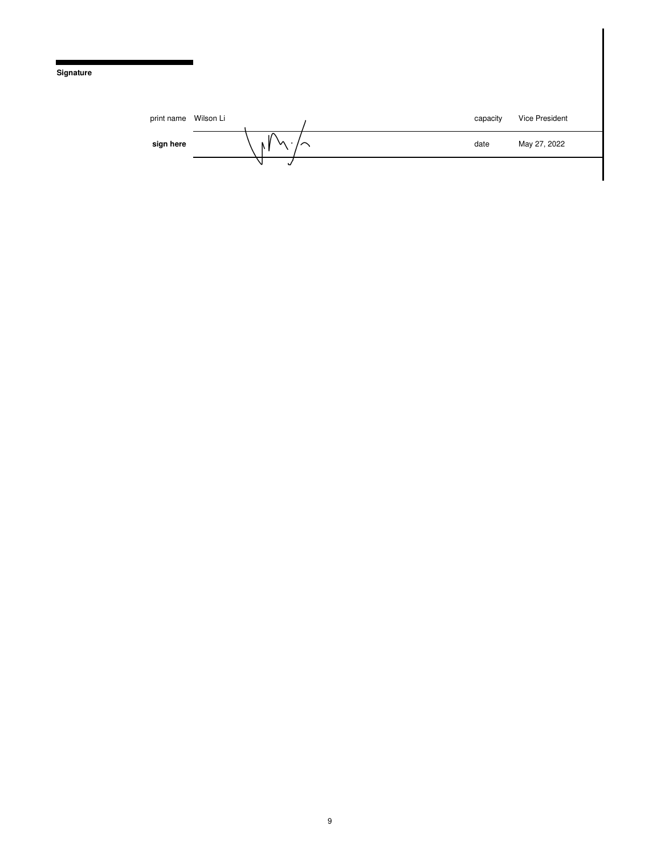#### **Signature**

| print name | Wilson Li |    | capacity | Vice President |
|------------|-----------|----|----------|----------------|
| sign here  |           | ៶៱ | date     | May 27, 2022   |
|            |           |    |          |                |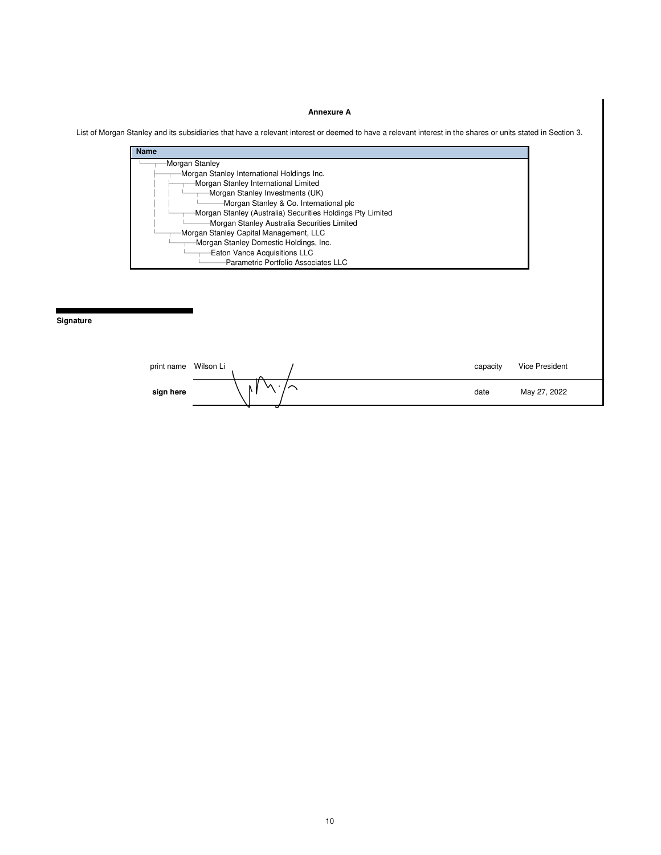#### **Annexure A**

List of Morgan Stanley and its subsidiaries that have a relevant interest or deemed to have a relevant interest in the shares or units stated in Section 3.



**Signature** 

| print name | Wilson Li |   | capacity | Vice President |
|------------|-----------|---|----------|----------------|
| sign here  |           | ∿ | date     | May 27, 2022   |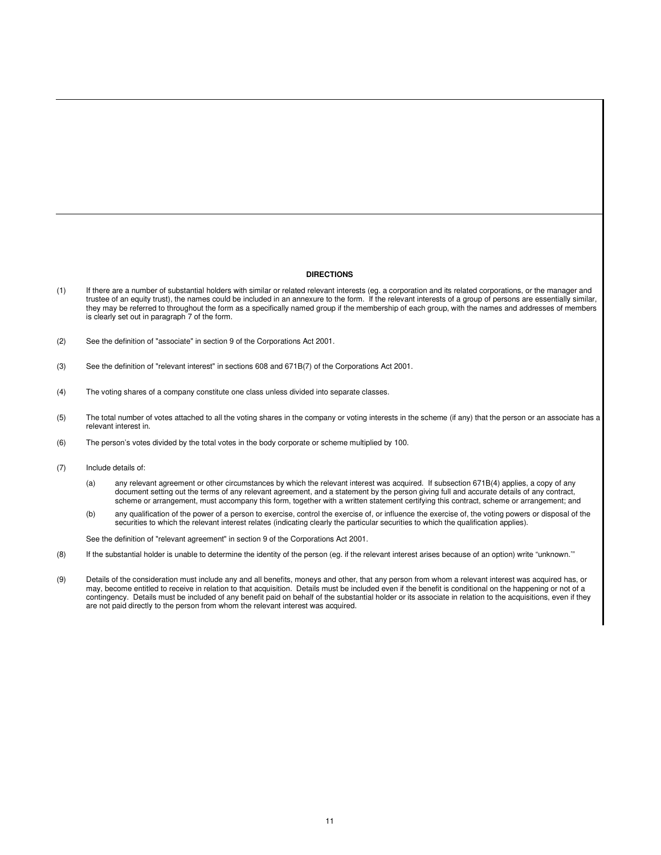#### **DIRECTIONS**

- (1) If there are a number of substantial holders with similar or related relevant interests (eg. a corporation and its related corporations, or the manager and trustee of an equity trust), the names could be included in an annexure to the form. If the relevant interests of a group of persons are essentially similar, they may be referred to throughout the form as a specifically named group if the membership of each group, with the names and addresses of members is clearly set out in paragraph 7 of the form.
- (2) See the definition of "associate" in section 9 of the Corporations Act 2001.
- (3) See the definition of "relevant interest" in sections 608 and 671B(7) of the Corporations Act 2001.
- (4) The voting shares of a company constitute one class unless divided into separate classes.
- (5) The total number of votes attached to all the voting shares in the company or voting interests in the scheme (if any) that the person or an associate has a relevant interest in.
- (6) The person's votes divided by the total votes in the body corporate or scheme multiplied by 100.
- (7) Include details of:
	- (a) any relevant agreement or other circumstances by which the relevant interest was acquired. If subsection 671B(4) applies, a copy of any document setting out the terms of any relevant agreement, and a statement by the person giving full and accurate details of any contract, scheme or arrangement, must accompany this form, together with a written statement certifying this contract, scheme or arrangement; and
	- (b) any qualification of the power of a person to exercise, control the exercise of, or influence the exercise of, the voting powers or disposal of the securities to which the relevant interest relates (indicating clearly the particular securities to which the qualification applies).

See the definition of "relevant agreement" in section 9 of the Corporations Act 2001.

- (8) If the substantial holder is unable to determine the identity of the person (eg. if the relevant interest arises because of an option) write "unknown.'"
- (9) Details of the consideration must include any and all benefits, moneys and other, that any person from whom a relevant interest was acquired has, or may, become entitled to receive in relation to that acquisition. Details must be included even if the benefit is conditional on the happening or not of a contingency. Details must be included of any benefit paid on behalf of the substantial holder or its associate in relation to the acquisitions, even if they are not paid directly to the person from whom the relevant interest was acquired.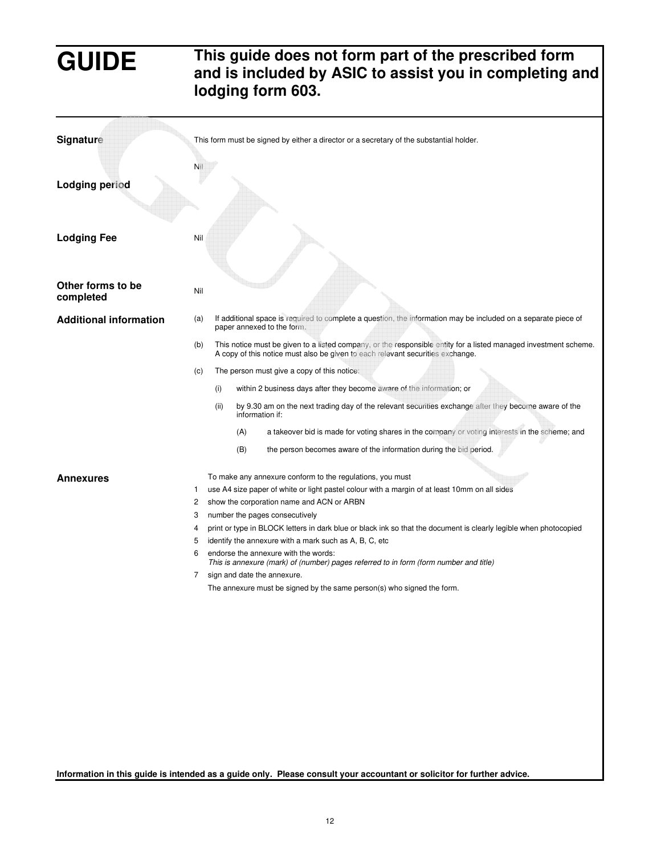# **GUIDE This guide does not form part of the prescribed form and is included by ASIC to assist you in completing and lodging form 603.**

| Signature                      |     |      |     | This form must be signed by either a director or a secretary of the substantial holder.                                                                                                            |
|--------------------------------|-----|------|-----|----------------------------------------------------------------------------------------------------------------------------------------------------------------------------------------------------|
|                                |     |      |     |                                                                                                                                                                                                    |
| <b>Lodging period</b>          | Nil |      |     |                                                                                                                                                                                                    |
| <b>Lodging Fee</b>             | Nil |      |     |                                                                                                                                                                                                    |
| Other forms to be<br>completed | Nil |      |     |                                                                                                                                                                                                    |
| <b>Additional information</b>  | (a) |      |     | If additional space is required to complete a question, the information may be included on a separate piece of<br>paper annexed to the form.                                                       |
|                                | (b) |      |     | This notice must be given to a listed company, or the responsible entity for a listed managed investment scheme.<br>A copy of this notice must also be given to each relevant securities exchange. |
|                                | (c) |      |     | The person must give a copy of this notice:                                                                                                                                                        |
|                                |     | (i)  |     | within 2 business days after they become aware of the information; or                                                                                                                              |
|                                |     | (ii) |     | by 9.30 am on the next trading day of the relevant securities exchange after they become aware of the<br>information if:                                                                           |
|                                |     |      | (A) | a takeover bid is made for voting shares in the company or voting interests in the scheme; and                                                                                                     |
|                                |     |      | (B) | the person becomes aware of the information during the bid period.                                                                                                                                 |
| Annexures                      |     |      |     | To make any annexure conform to the regulations, you must                                                                                                                                          |
|                                | 1   |      |     | use A4 size paper of white or light pastel colour with a margin of at least 10mm on all sides                                                                                                      |
|                                | 2   |      |     | show the corporation name and ACN or ARBN                                                                                                                                                          |
|                                | 3   |      |     | number the pages consecutively                                                                                                                                                                     |
|                                | 4   |      |     | print or type in BLOCK letters in dark blue or black ink so that the document is clearly legible when photocopied                                                                                  |
|                                | 5   |      |     | identify the annexure with a mark such as A, B, C, etc.                                                                                                                                            |
|                                | 6   |      |     | endorse the annexure with the words:<br>This is annexure (mark) of (number) pages referred to in form (form number and title)                                                                      |
|                                | 7   |      |     | sign and date the annexure.                                                                                                                                                                        |
|                                |     |      |     | The annexure must be signed by the same person(s) who signed the form.                                                                                                                             |
|                                |     |      |     |                                                                                                                                                                                                    |
|                                |     |      |     |                                                                                                                                                                                                    |

**Information in this guide is intended as a guide only. Please consult your accountant or solicitor for further advice.**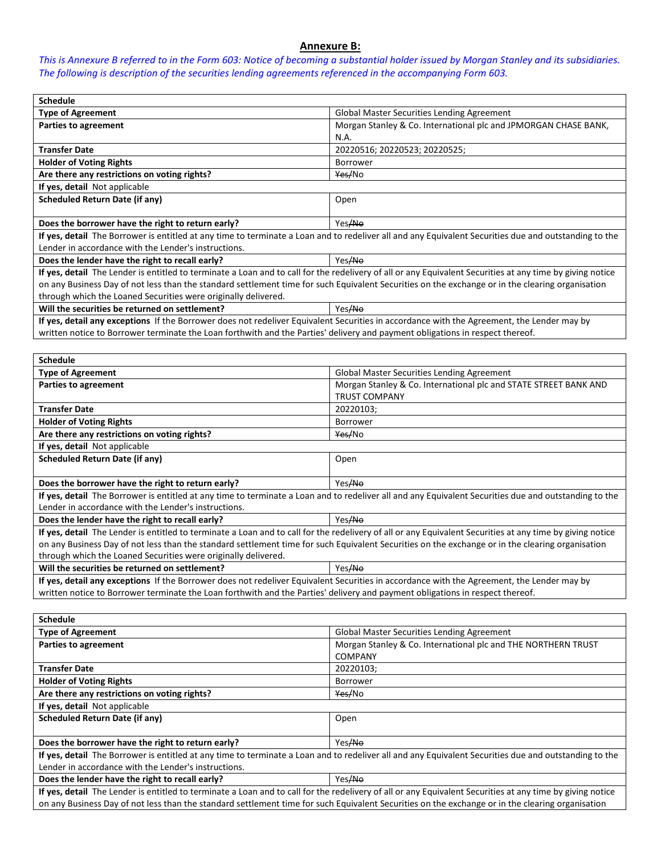### **Annexure B:**

*This is Annexure B referred to in the Form 603: Notice of becoming a substantial holder issued by Morgan Stanley and its subsidiaries. The following is description of the securities lending agreements referenced in the accompanying Form 603.* 

| <b>Schedule</b>                                                                                                                                           |                                                                 |  |
|-----------------------------------------------------------------------------------------------------------------------------------------------------------|-----------------------------------------------------------------|--|
| <b>Type of Agreement</b>                                                                                                                                  | <b>Global Master Securities Lending Agreement</b>               |  |
| Parties to agreement                                                                                                                                      | Morgan Stanley & Co. International plc and JPMORGAN CHASE BANK, |  |
|                                                                                                                                                           | N.A.                                                            |  |
| <b>Transfer Date</b>                                                                                                                                      | 20220516; 20220523; 20220525;                                   |  |
| <b>Holder of Voting Rights</b>                                                                                                                            | <b>Borrower</b>                                                 |  |
| Are there any restrictions on voting rights?                                                                                                              | Yes/No                                                          |  |
| If yes, detail Not applicable                                                                                                                             |                                                                 |  |
| <b>Scheduled Return Date (if any)</b>                                                                                                                     | Open                                                            |  |
|                                                                                                                                                           |                                                                 |  |
| Does the borrower have the right to return early?                                                                                                         | Yes/No                                                          |  |
| If yes, detail The Borrower is entitled at any time to terminate a Loan and to redeliver all and any Equivalent Securities due and outstanding to the     |                                                                 |  |
| Lender in accordance with the Lender's instructions.                                                                                                      |                                                                 |  |
| Does the lender have the right to recall early?                                                                                                           | Yes <del>/No</del>                                              |  |
| If yes, detail The Lender is entitled to terminate a Loan and to call for the redelivery of all or any Equivalent Securities at any time by giving notice |                                                                 |  |
| on any Business Day of not less than the standard settlement time for such Equivalent Securities on the exchange or in the clearing organisation          |                                                                 |  |
| through which the Loaned Securities were originally delivered.                                                                                            |                                                                 |  |
| Will the securities be returned on settlement?                                                                                                            | Yes <del>/No</del>                                              |  |
| If yes, detail any exceptions If the Borrower does not redeliver Equivalent Securities in accordance with the Agreement, the Lender may by                |                                                                 |  |
| written notice to Borrower terminate the Loan forthwith and the Parties' delivery and payment obligations in respect thereof.                             |                                                                 |  |

| <b>Schedule</b>                                                                                                                                           |                                                                  |  |
|-----------------------------------------------------------------------------------------------------------------------------------------------------------|------------------------------------------------------------------|--|
| <b>Type of Agreement</b>                                                                                                                                  | <b>Global Master Securities Lending Agreement</b>                |  |
| Parties to agreement                                                                                                                                      | Morgan Stanley & Co. International plc and STATE STREET BANK AND |  |
|                                                                                                                                                           | <b>TRUST COMPANY</b>                                             |  |
| <b>Transfer Date</b>                                                                                                                                      | 20220103:                                                        |  |
| <b>Holder of Voting Rights</b>                                                                                                                            | <b>Borrower</b>                                                  |  |
| Are there any restrictions on voting rights?                                                                                                              | Yes/No                                                           |  |
| If yes, detail Not applicable                                                                                                                             |                                                                  |  |
| <b>Scheduled Return Date (if any)</b>                                                                                                                     | Open                                                             |  |
|                                                                                                                                                           |                                                                  |  |
| Does the borrower have the right to return early?                                                                                                         | Yes/No                                                           |  |
| If yes, detail The Borrower is entitled at any time to terminate a Loan and to redeliver all and any Equivalent Securities due and outstanding to the     |                                                                  |  |
| Lender in accordance with the Lender's instructions.                                                                                                      |                                                                  |  |
| Does the lender have the right to recall early?                                                                                                           | Yes/No                                                           |  |
| If yes, detail The Lender is entitled to terminate a Loan and to call for the redelivery of all or any Equivalent Securities at any time by giving notice |                                                                  |  |
| on any Business Day of not less than the standard settlement time for such Equivalent Securities on the exchange or in the clearing organisation          |                                                                  |  |
| through which the Loaned Securities were originally delivered.                                                                                            |                                                                  |  |
| Will the securities be returned on settlement?                                                                                                            | Yes <del>/No</del>                                               |  |
| If yes, detail any exceptions If the Borrower does not redeliver Equivalent Securities in accordance with the Agreement, the Lender may by                |                                                                  |  |
| written notice to Borrower terminate the Loan forthwith and the Parties' delivery and payment obligations in respect thereof.                             |                                                                  |  |

| <b>Schedule</b>                                                                                                                                           |                                                               |  |
|-----------------------------------------------------------------------------------------------------------------------------------------------------------|---------------------------------------------------------------|--|
| <b>Type of Agreement</b>                                                                                                                                  | <b>Global Master Securities Lending Agreement</b>             |  |
| Parties to agreement                                                                                                                                      | Morgan Stanley & Co. International plc and THE NORTHERN TRUST |  |
|                                                                                                                                                           | <b>COMPANY</b>                                                |  |
| <b>Transfer Date</b>                                                                                                                                      | 20220103;                                                     |  |
| <b>Holder of Voting Rights</b>                                                                                                                            | <b>Borrower</b>                                               |  |
| Are there any restrictions on voting rights?                                                                                                              | Yes/No                                                        |  |
| If yes, detail Not applicable                                                                                                                             |                                                               |  |
| Scheduled Return Date (if any)                                                                                                                            | Open                                                          |  |
|                                                                                                                                                           |                                                               |  |
| Does the borrower have the right to return early?                                                                                                         | Yes/No                                                        |  |
| If yes, detail The Borrower is entitled at any time to terminate a Loan and to redeliver all and any Equivalent Securities due and outstanding to the     |                                                               |  |
| Lender in accordance with the Lender's instructions.                                                                                                      |                                                               |  |
| Yes/No<br>Does the lender have the right to recall early?                                                                                                 |                                                               |  |
| If yes, detail The Lender is entitled to terminate a Loan and to call for the redelivery of all or any Equivalent Securities at any time by giving notice |                                                               |  |
| on any Business Day of not less than the standard settlement time for such Equivalent Securities on the exchange or in the clearing organisation          |                                                               |  |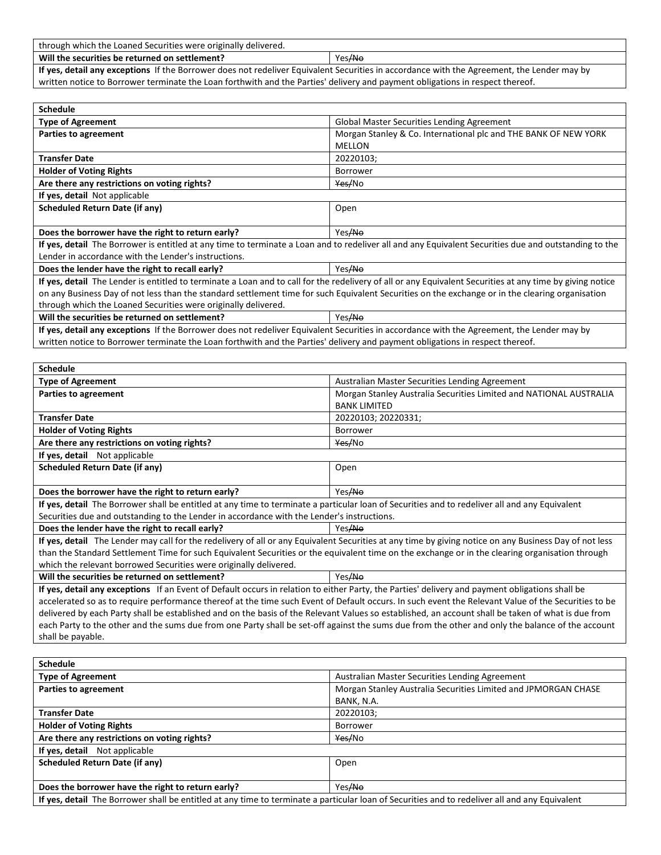| through which the Loaned Securities were originally delivered.                                                                             |                    |
|--------------------------------------------------------------------------------------------------------------------------------------------|--------------------|
| Will the securities be returned on settlement?                                                                                             | Yes <del>/No</del> |
| If yes, detail any exceptions If the Borrower does not redeliver Equivalent Securities in accordance with the Agreement, the Lender may by |                    |
| written notice to Borrower terminate the Loan forthwith and the Parties' delivery and payment obligations in respect thereof.              |                    |

| <b>Schedule</b>                                                                                                                                           |                                                                 |  |
|-----------------------------------------------------------------------------------------------------------------------------------------------------------|-----------------------------------------------------------------|--|
| <b>Type of Agreement</b>                                                                                                                                  | <b>Global Master Securities Lending Agreement</b>               |  |
| Parties to agreement                                                                                                                                      | Morgan Stanley & Co. International plc and THE BANK OF NEW YORK |  |
|                                                                                                                                                           | MELLON                                                          |  |
| <b>Transfer Date</b>                                                                                                                                      | 20220103;                                                       |  |
| <b>Holder of Voting Rights</b>                                                                                                                            | Borrower                                                        |  |
| Are there any restrictions on voting rights?                                                                                                              | Yes/No                                                          |  |
| If yes, detail Not applicable                                                                                                                             |                                                                 |  |
| Scheduled Return Date (if any)                                                                                                                            | Open                                                            |  |
|                                                                                                                                                           |                                                                 |  |
| Does the borrower have the right to return early?                                                                                                         | Yes <del>/No</del>                                              |  |
| If yes, detail The Borrower is entitled at any time to terminate a Loan and to redeliver all and any Equivalent Securities due and outstanding to the     |                                                                 |  |
| Lender in accordance with the Lender's instructions.                                                                                                      |                                                                 |  |
| Does the lender have the right to recall early?                                                                                                           | Yes/No                                                          |  |
| If yes, detail The Lender is entitled to terminate a Loan and to call for the redelivery of all or any Equivalent Securities at any time by giving notice |                                                                 |  |
| on any Business Day of not less than the standard settlement time for such Equivalent Securities on the exchange or in the clearing organisation          |                                                                 |  |
| through which the Loaned Securities were originally delivered.                                                                                            |                                                                 |  |
| Will the securities be returned on settlement?                                                                                                            | Yes/No                                                          |  |
|                                                                                                                                                           |                                                                 |  |

**If yes, detail any exceptions** If the Borrower does not redeliver Equivalent Securities in accordance with the Agreement, the Lender may by written notice to Borrower terminate the Loan forthwith and the Parties' delivery and payment obligations in respect thereof.

| <b>Schedule</b>                                                                                                                                        |                                                                    |  |  |
|--------------------------------------------------------------------------------------------------------------------------------------------------------|--------------------------------------------------------------------|--|--|
| <b>Type of Agreement</b>                                                                                                                               | Australian Master Securities Lending Agreement                     |  |  |
| <b>Parties to agreement</b>                                                                                                                            | Morgan Stanley Australia Securities Limited and NATIONAL AUSTRALIA |  |  |
|                                                                                                                                                        | <b>BANK LIMITED</b>                                                |  |  |
| <b>Transfer Date</b>                                                                                                                                   | 20220103; 20220331;                                                |  |  |
| <b>Holder of Voting Rights</b>                                                                                                                         | Borrower                                                           |  |  |
| Are there any restrictions on voting rights?                                                                                                           | Yes/No                                                             |  |  |
| If yes, detail Not applicable                                                                                                                          |                                                                    |  |  |
| <b>Scheduled Return Date (if any)</b>                                                                                                                  | Open                                                               |  |  |
|                                                                                                                                                        |                                                                    |  |  |
| Does the borrower have the right to return early?                                                                                                      | Yes/No                                                             |  |  |
| If yes, detail The Borrower shall be entitled at any time to terminate a particular loan of Securities and to redeliver all and any Equivalent         |                                                                    |  |  |
| Securities due and outstanding to the Lender in accordance with the Lender's instructions.                                                             |                                                                    |  |  |
| Does the lender have the right to recall early?                                                                                                        | Yes/No                                                             |  |  |
| If yes, detail The Lender may call for the redelivery of all or any Equivalent Securities at any time by giving notice on any Business Day of not less |                                                                    |  |  |
| than the Standard Settlement Time for such Equivalent Securities or the equivalent time on the exchange or in the clearing organisation through        |                                                                    |  |  |
| which the relevant borrowed Securities were originally delivered.                                                                                      |                                                                    |  |  |
| Will the securities be returned on settlement?                                                                                                         | Yes/No                                                             |  |  |
| If yes, detail any exceptions If an Event of Default occurs in relation to either Party, the Parties' delivery and payment obligations shall be        |                                                                    |  |  |
| accelerated so as to require performance thereof at the time such Event of Default occurs. In such event the Relevant Value of the Securities to be    |                                                                    |  |  |
| delivered by each Party shall be established and on the basis of the Relevant Values so established, an account shall be taken of what is due from     |                                                                    |  |  |
| each Party to the other and the sums due from one Party shall be set-off against the sums due from the other and only the balance of the account       |                                                                    |  |  |
| shall be payable.                                                                                                                                      |                                                                    |  |  |
|                                                                                                                                                        |                                                                    |  |  |
| <b>Schedule</b>                                                                                                                                        |                                                                    |  |  |
| <b>Type of Agreement</b>                                                                                                                               | Australian Master Securities Lending Agreement                     |  |  |
| <b>Parties to agreement</b>                                                                                                                            | Morgan Stanley Australia Securities Limited and JPMORGAN CHASE     |  |  |
|                                                                                                                                                        | BANK, N.A.                                                         |  |  |
| <b>Transfer Date</b>                                                                                                                                   | 20220103;                                                          |  |  |
| <b>Holder of Voting Rights</b>                                                                                                                         | Borrower                                                           |  |  |
| Are there any restrictions on voting rights?                                                                                                           | Yes/No                                                             |  |  |
| If yes, detail Not applicable                                                                                                                          |                                                                    |  |  |
| <b>Scheduled Return Date (if any)</b>                                                                                                                  | Open                                                               |  |  |

**Does the borrower have the right to return early?** Yes/No **If yes, detail** The Borrower shall be entitled at any time to terminate a particular loan of Securities and to redeliver all and any Equivalent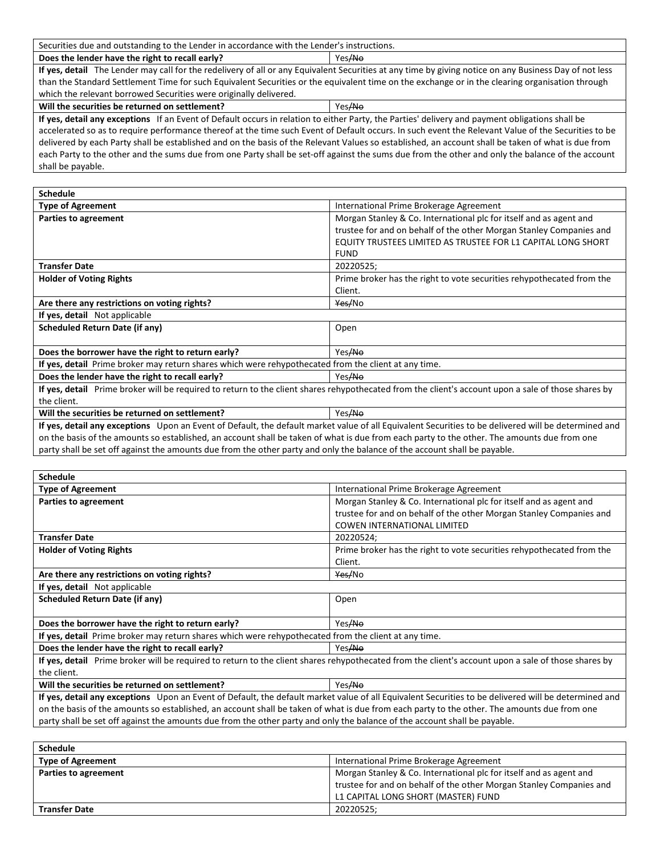Securities due and outstanding to the Lender in accordance with the Lender's instructions.

**Does the lender have the right to recall early?**  $\vert$  Yes/No

**Schedule** 

**If yes, detail** The Lender may call for the redelivery of all or any Equivalent Securities at any time by giving notice on any Business Day of not less than the Standard Settlement Time for such Equivalent Securities or the equivalent time on the exchange or in the clearing organisation through which the relevant borrowed Securities were originally delivered.

**Will the securities be returned on settlement?**  $\left\{\n \begin{array}{ccc}\n \text{Yes/No} \\
\end{array}\n \right.$ 

**If yes, detail any exceptions** If an Event of Default occurs in relation to either Party, the Parties' delivery and payment obligations shall be accelerated so as to require performance thereof at the time such Event of Default occurs. In such event the Relevant Value of the Securities to be delivered by each Party shall be established and on the basis of the Relevant Values so established, an account shall be taken of what is due from each Party to the other and the sums due from one Party shall be set-off against the sums due from the other and only the balance of the account shall be payable.

| <b>Schedule</b>                                                                                                                                      |                                                                       |  |
|------------------------------------------------------------------------------------------------------------------------------------------------------|-----------------------------------------------------------------------|--|
| <b>Type of Agreement</b>                                                                                                                             | International Prime Brokerage Agreement                               |  |
| Parties to agreement                                                                                                                                 | Morgan Stanley & Co. International plc for itself and as agent and    |  |
|                                                                                                                                                      | trustee for and on behalf of the other Morgan Stanley Companies and   |  |
|                                                                                                                                                      | EQUITY TRUSTEES LIMITED AS TRUSTEE FOR L1 CAPITAL LONG SHORT          |  |
|                                                                                                                                                      | <b>FUND</b>                                                           |  |
| <b>Transfer Date</b>                                                                                                                                 | 20220525;                                                             |  |
| <b>Holder of Voting Rights</b>                                                                                                                       | Prime broker has the right to vote securities rehypothecated from the |  |
|                                                                                                                                                      | Client.                                                               |  |
| Are there any restrictions on voting rights?                                                                                                         | Yes/No                                                                |  |
| If yes, detail Not applicable                                                                                                                        |                                                                       |  |
| <b>Scheduled Return Date (if any)</b>                                                                                                                | Open                                                                  |  |
|                                                                                                                                                      |                                                                       |  |
| Does the borrower have the right to return early?                                                                                                    | Yes ANO                                                               |  |
| If yes, detail Prime broker may return shares which were rehypothecated from the client at any time.                                                 |                                                                       |  |
| Does the lender have the right to recall early?                                                                                                      | Yes <del>/No</del>                                                    |  |
| If yes, detail Prime broker will be required to return to the client shares rehypothecated from the client's account upon a sale of those shares by  |                                                                       |  |
| the client.                                                                                                                                          |                                                                       |  |
| Will the securities be returned on settlement?                                                                                                       | Yes ANO                                                               |  |
| If yes, detail any exceptions Upon an Event of Default, the default market value of all Equivalent Securities to be delivered will be determined and |                                                                       |  |
| on the basis of the amounts so established, an account shall be taken of what is due from each party to the other. The amounts due from one          |                                                                       |  |

party shall be set off against the amounts due from the other party and only the balance of the account shall be payable.

| <b>Schedule</b>                                                                                                                                      |                                                                       |  |  |
|------------------------------------------------------------------------------------------------------------------------------------------------------|-----------------------------------------------------------------------|--|--|
| <b>Type of Agreement</b>                                                                                                                             | International Prime Brokerage Agreement                               |  |  |
| Parties to agreement                                                                                                                                 | Morgan Stanley & Co. International plc for itself and as agent and    |  |  |
|                                                                                                                                                      | trustee for and on behalf of the other Morgan Stanley Companies and   |  |  |
|                                                                                                                                                      | <b>COWEN INTERNATIONAL LIMITED</b>                                    |  |  |
| <b>Transfer Date</b>                                                                                                                                 | 20220524;                                                             |  |  |
| <b>Holder of Voting Rights</b>                                                                                                                       | Prime broker has the right to vote securities rehypothecated from the |  |  |
|                                                                                                                                                      | Client.                                                               |  |  |
| Are there any restrictions on voting rights?                                                                                                         | Yes/No                                                                |  |  |
| If yes, detail Not applicable                                                                                                                        |                                                                       |  |  |
| <b>Scheduled Return Date (if any)</b>                                                                                                                | Open                                                                  |  |  |
|                                                                                                                                                      |                                                                       |  |  |
| Does the borrower have the right to return early?                                                                                                    | Yes/No                                                                |  |  |
| If yes, detail Prime broker may return shares which were rehypothecated from the client at any time.                                                 |                                                                       |  |  |
| Does the lender have the right to recall early?                                                                                                      | Yes/No                                                                |  |  |
| If yes, detail Prime broker will be required to return to the client shares rehypothecated from the client's account upon a sale of those shares by  |                                                                       |  |  |
| the client.                                                                                                                                          |                                                                       |  |  |
| Will the securities be returned on settlement?                                                                                                       | Yes/No                                                                |  |  |
| If yes, detail any exceptions Upon an Event of Default, the default market value of all Equivalent Securities to be delivered will be determined and |                                                                       |  |  |
| on the basis of the amounts so established, an account shall be taken of what is due from each party to the other. The amounts due from one          |                                                                       |  |  |
| party shall be set off against the amounts due from the other party and only the balance of the account shall be payable.                            |                                                                       |  |  |

| scrieguie                |                                                                     |
|--------------------------|---------------------------------------------------------------------|
| <b>Type of Agreement</b> | International Prime Brokerage Agreement                             |
| Parties to agreement     | Morgan Stanley & Co. International plc for itself and as agent and  |
|                          | trustee for and on behalf of the other Morgan Stanley Companies and |
|                          | L1 CAPITAL LONG SHORT (MASTER) FUND                                 |
| <b>Transfer Date</b>     | 20220525;                                                           |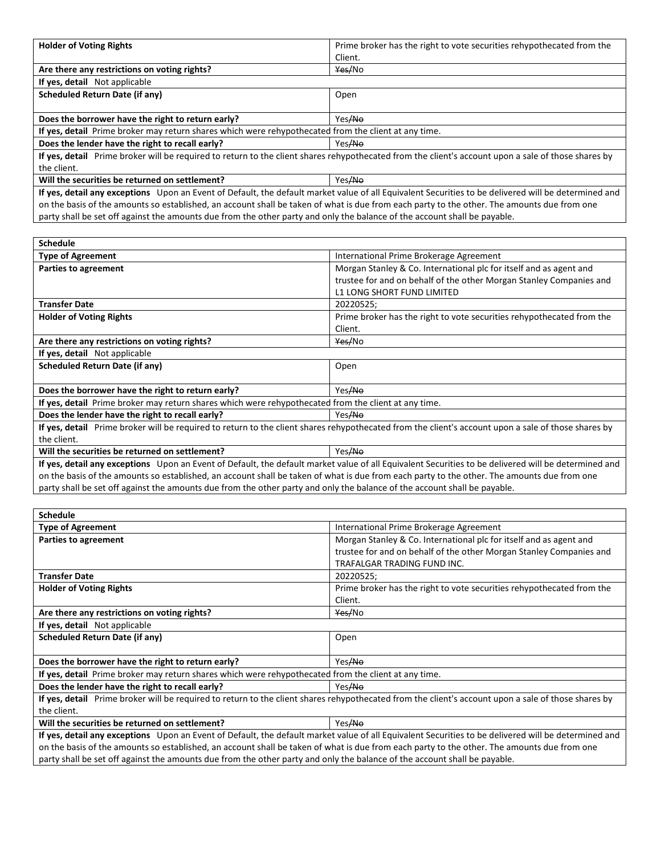| <b>Holder of Voting Rights</b>                                                                                                                       | Prime broker has the right to vote securities rehypothecated from the |  |
|------------------------------------------------------------------------------------------------------------------------------------------------------|-----------------------------------------------------------------------|--|
|                                                                                                                                                      | Client.                                                               |  |
| Are there any restrictions on voting rights?                                                                                                         | Yes/No                                                                |  |
| If yes, detail Not applicable                                                                                                                        |                                                                       |  |
| Scheduled Return Date (if any)                                                                                                                       | Open                                                                  |  |
|                                                                                                                                                      |                                                                       |  |
| Does the borrower have the right to return early?                                                                                                    | Yes ANO                                                               |  |
| If yes, detail Prime broker may return shares which were rehypothecated from the client at any time.                                                 |                                                                       |  |
| Does the lender have the right to recall early?                                                                                                      | Yes/No                                                                |  |
| If yes, detail Prime broker will be required to return to the client shares rehypothecated from the client's account upon a sale of those shares by  |                                                                       |  |
| the client.                                                                                                                                          |                                                                       |  |
| Will the securities be returned on settlement?                                                                                                       | Yes/No                                                                |  |
| If yes, detail any exceptions Upon an Event of Default, the default market value of all Equivalent Securities to be delivered will be determined and |                                                                       |  |

on the basis of the amounts so established, an account shall be taken of what is due from each party to the other. The amounts due from one party shall be set off against the amounts due from the other party and only the balance of the account shall be payable.

| <b>Schedule</b>                                                                                                                                      |                                                                       |  |  |
|------------------------------------------------------------------------------------------------------------------------------------------------------|-----------------------------------------------------------------------|--|--|
| <b>Type of Agreement</b>                                                                                                                             | International Prime Brokerage Agreement                               |  |  |
| Parties to agreement                                                                                                                                 | Morgan Stanley & Co. International plc for itself and as agent and    |  |  |
|                                                                                                                                                      | trustee for and on behalf of the other Morgan Stanley Companies and   |  |  |
|                                                                                                                                                      | L1 LONG SHORT FUND LIMITED                                            |  |  |
| <b>Transfer Date</b>                                                                                                                                 | 20220525;                                                             |  |  |
| <b>Holder of Voting Rights</b>                                                                                                                       | Prime broker has the right to vote securities rehypothecated from the |  |  |
|                                                                                                                                                      | Client.                                                               |  |  |
| Are there any restrictions on voting rights?                                                                                                         | Yes/No                                                                |  |  |
| If yes, detail Not applicable                                                                                                                        |                                                                       |  |  |
| <b>Scheduled Return Date (if any)</b>                                                                                                                | Open                                                                  |  |  |
|                                                                                                                                                      |                                                                       |  |  |
| Does the borrower have the right to return early?                                                                                                    | Yes/No                                                                |  |  |
| If yes, detail Prime broker may return shares which were rehypothecated from the client at any time.                                                 |                                                                       |  |  |
| Does the lender have the right to recall early?                                                                                                      | Yes/No                                                                |  |  |
| If yes, detail Prime broker will be required to return to the client shares rehypothecated from the client's account upon a sale of those shares by  |                                                                       |  |  |
| the client.                                                                                                                                          |                                                                       |  |  |
| Will the securities be returned on settlement?                                                                                                       | Yes/No                                                                |  |  |
| If yes, detail any exceptions Upon an Event of Default, the default market value of all Equivalent Securities to be delivered will be determined and |                                                                       |  |  |

on the basis of the amounts so established, an account shall be taken of what is due from each party to the other. The amounts due from one party shall be set off against the amounts due from the other party and only the balance of the account shall be payable.

| <b>Schedule</b>                                                                                                                                                                                                                                                                                     |                                                                       |  |  |  |
|-----------------------------------------------------------------------------------------------------------------------------------------------------------------------------------------------------------------------------------------------------------------------------------------------------|-----------------------------------------------------------------------|--|--|--|
| <b>Type of Agreement</b>                                                                                                                                                                                                                                                                            | International Prime Brokerage Agreement                               |  |  |  |
| Parties to agreement                                                                                                                                                                                                                                                                                | Morgan Stanley & Co. International plc for itself and as agent and    |  |  |  |
|                                                                                                                                                                                                                                                                                                     | trustee for and on behalf of the other Morgan Stanley Companies and   |  |  |  |
|                                                                                                                                                                                                                                                                                                     | TRAFALGAR TRADING FUND INC.                                           |  |  |  |
| <b>Transfer Date</b>                                                                                                                                                                                                                                                                                | 20220525;                                                             |  |  |  |
| <b>Holder of Voting Rights</b>                                                                                                                                                                                                                                                                      | Prime broker has the right to vote securities rehypothecated from the |  |  |  |
|                                                                                                                                                                                                                                                                                                     | Client.                                                               |  |  |  |
| Are there any restrictions on voting rights?                                                                                                                                                                                                                                                        | Yes/No                                                                |  |  |  |
| If yes, detail Not applicable                                                                                                                                                                                                                                                                       |                                                                       |  |  |  |
| Scheduled Return Date (if any)                                                                                                                                                                                                                                                                      | Open                                                                  |  |  |  |
|                                                                                                                                                                                                                                                                                                     |                                                                       |  |  |  |
| Does the borrower have the right to return early?                                                                                                                                                                                                                                                   | Yes/No                                                                |  |  |  |
| If yes, detail Prime broker may return shares which were rehypothecated from the client at any time.                                                                                                                                                                                                |                                                                       |  |  |  |
| Does the lender have the right to recall early?                                                                                                                                                                                                                                                     | Yes <del>/No</del>                                                    |  |  |  |
| If yes, detail Prime broker will be required to return to the client shares rehypothecated from the client's account upon a sale of those shares by                                                                                                                                                 |                                                                       |  |  |  |
| the client.                                                                                                                                                                                                                                                                                         |                                                                       |  |  |  |
| Will the securities be returned on settlement?                                                                                                                                                                                                                                                      | Yes/No                                                                |  |  |  |
| If yes, detail any exceptions Upon an Event of Default, the default market value of all Equivalent Securities to be delivered will be determined and<br>on the basis of the amounts so established, an account shall be taken of what is due from each party to the other. The amounts due from one |                                                                       |  |  |  |

party shall be set off against the amounts due from the other party and only the balance of the account shall be payable.